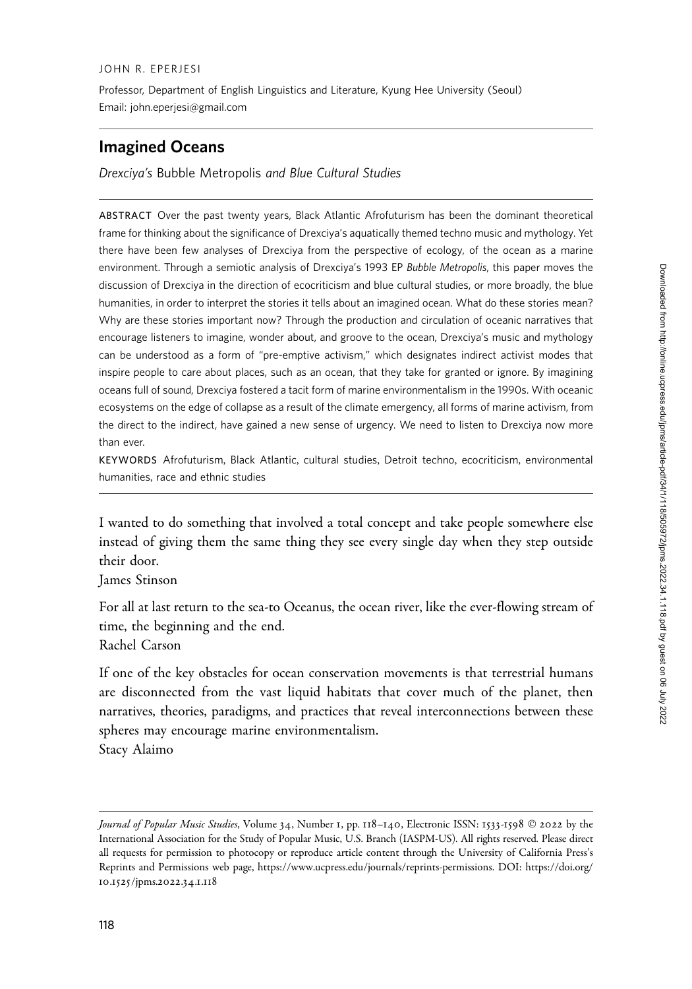#### JOHN R. EPERJESI

Professor, Department of English Linguistics and Literature, Kyung Hee University (Seoul) Email: john.eperjesi@gmail.com

# Imagined Oceans

Drexciya's Bubble Metropolis and Blue Cultural Studies

ABSTRACT Over the past twenty years, Black Atlantic Afrofuturism has been the dominant theoretical frame for thinking about the significance of Drexciya's aquatically themed techno music and mythology. Yet there have been few analyses of Drexciya from the perspective of ecology, of the ocean as a marine environment. Through a semiotic analysis of Drexciya's 1993 EP Bubble Metropolis, this paper moves the discussion of Drexciya in the direction of ecocriticism and blue cultural studies, or more broadly, the blue humanities, in order to interpret the stories it tells about an imagined ocean. What do these stories mean? Why are these stories important now? Through the production and circulation of oceanic narratives that encourage listeners to imagine, wonder about, and groove to the ocean, Drexciya's music and mythology can be understood as a form of "pre-emptive activism," which designates indirect activist modes that inspire people to care about places, such as an ocean, that they take for granted or ignore. By imagining oceans full of sound, Drexciya fostered a tacit form of marine environmentalism in the 1990s. With oceanic ecosystems on the edge of collapse as a result of the climate emergency, all forms of marine activism, from the direct to the indirect, have gained a new sense of urgency. We need to listen to Drexciya now more than ever.

KEYWORDS Afrofuturism, Black Atlantic, cultural studies, Detroit techno, ecocriticism, environmental humanities, race and ethnic studies

I wanted to do something that involved a total concept and take people somewhere else instead of giving them the same thing they see every single day when they step outside their door.

James Stinson

For all at last return to the sea-to Oceanus, the ocean river, like the ever-flowing stream of time, the beginning and the end.

Rachel Carson

If one of the key obstacles for ocean conservation movements is that terrestrial humans are disconnected from the vast liquid habitats that cover much of the planet, then narratives, theories, paradigms, and practices that reveal interconnections between these spheres may encourage marine environmentalism.

Stacy Alaimo

Journal of Popular Music Studies, Volume 34, Number 1, pp. 118–140, Electronic ISSN: 1533-1598 © 2022 by the International Association for the Study of Popular Music, U.S. Branch (IASPM-US). All rights reserved. Please direct all requests for permission to photocopy or reproduce article content through the University of California Press's Reprints and Permissions web page, [https://www.ucpress.edu/journals/reprints-permissions.](https://www.ucpress.edu/journals/reprints-permissions) [DOI: https://doi.org/](https://doi.org/10.1525/jpms.2022.34.1.118) 10.1525[/jpms.](https://doi.org/10.1525/jpms.2022.34.1.118)2022.34.1.118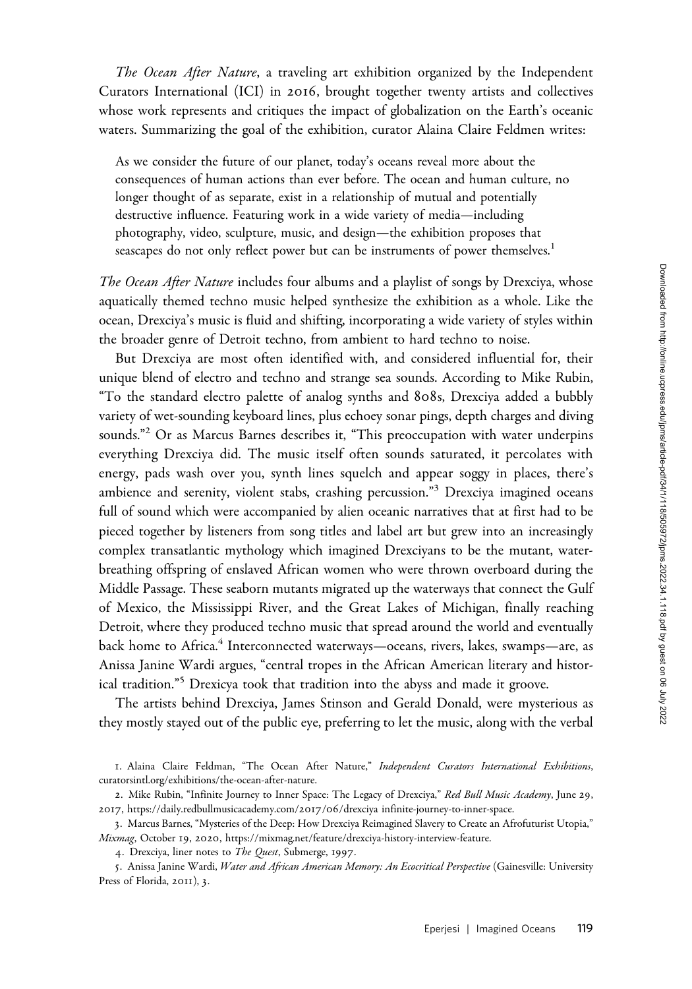The Ocean After Nature, a traveling art exhibition organized by the Independent Curators International (ICI) in 2016, brought together twenty artists and collectives whose work represents and critiques the impact of globalization on the Earth's oceanic waters. Summarizing the goal of the exhibition, curator Alaina Claire Feldmen writes:

As we consider the future of our planet, today's oceans reveal more about the consequences of human actions than ever before. The ocean and human culture, no longer thought of as separate, exist in a relationship of mutual and potentially destructive influence. Featuring work in a wide variety of media—including photography, video, sculpture, music, and design—the exhibition proposes that seascapes do not only reflect power but can be instruments of power themselves.<sup>1</sup>

The Ocean After Nature includes four albums and a playlist of songs by Drexciya, whose aquatically themed techno music helped synthesize the exhibition as a whole. Like the ocean, Drexciya's music is fluid and shifting, incorporating a wide variety of styles within the broader genre of Detroit techno, from ambient to hard techno to noise.

But Drexciya are most often identified with, and considered influential for, their unique blend of electro and techno and strange sea sounds. According to Mike Rubin, "To the standard electro palette of analog synths and 808s, Drexciya added a bubbly variety of wet-sounding keyboard lines, plus echoey sonar pings, depth charges and diving sounds."<sup>2</sup> Or as Marcus Barnes describes it, "This preoccupation with water underpins everything Drexciya did. The music itself often sounds saturated, it percolates with energy, pads wash over you, synth lines squelch and appear soggy in places, there's ambience and serenity, violent stabs, crashing percussion."<sup>3</sup> Drexciya imagined oceans full of sound which were accompanied by alien oceanic narratives that at first had to be pieced together by listeners from song titles and label art but grew into an increasingly complex transatlantic mythology which imagined Drexciyans to be the mutant, waterbreathing offspring of enslaved African women who were thrown overboard during the Middle Passage. These seaborn mutants migrated up the waterways that connect the Gulf of Mexico, the Mississippi River, and the Great Lakes of Michigan, finally reaching Detroit, where they produced techno music that spread around the world and eventually back home to Africa.<sup>4</sup> Interconnected waterways—oceans, rivers, lakes, swamps—are, as Anissa Janine Wardi argues, "central tropes in the African American literary and historical tradition."<sup>5</sup> Drexicya took that tradition into the abyss and made it groove.

The artists behind Drexciya, James Stinson and Gerald Donald, were mysterious as they mostly stayed out of the public eye, preferring to let the music, along with the verbal

<sup>1</sup>. Alaina Claire Feldman, "The Ocean After Nature," Independent Curators International Exhibitions, <curatorsintl.org/exhibitions/the-ocean-after-nature>.

<sup>2.</sup> Mike Rubin, "Infinite Journey to Inner Space: The Legacy of Drexciya," Red Bull Music Academy, June 29, 2017, https://daily.redbullmusicacademy.com/2017/06[/drexciya infinite-journey-to-inner-space.](https://daily.redbullmusicacademy.com/2017/06/drexciya infinite-journey-to-inner-space)

<sup>3</sup>. Marcus Barnes, "Mysteries of the Deep: How Drexciya Reimagined Slavery to Create an Afrofuturist Utopia," Mixmag, October 19, 2020,<https://mixmag.net/feature/drexciya-history-interview-feature>.

<sup>4.</sup> Drexciya, liner notes to The Quest, Submerge, 1997.

<sup>5.</sup> Anissa Janine Wardi, Water and African American Memory: An Ecocritical Perspective (Gainesville: University Press of Florida, 2011), 3.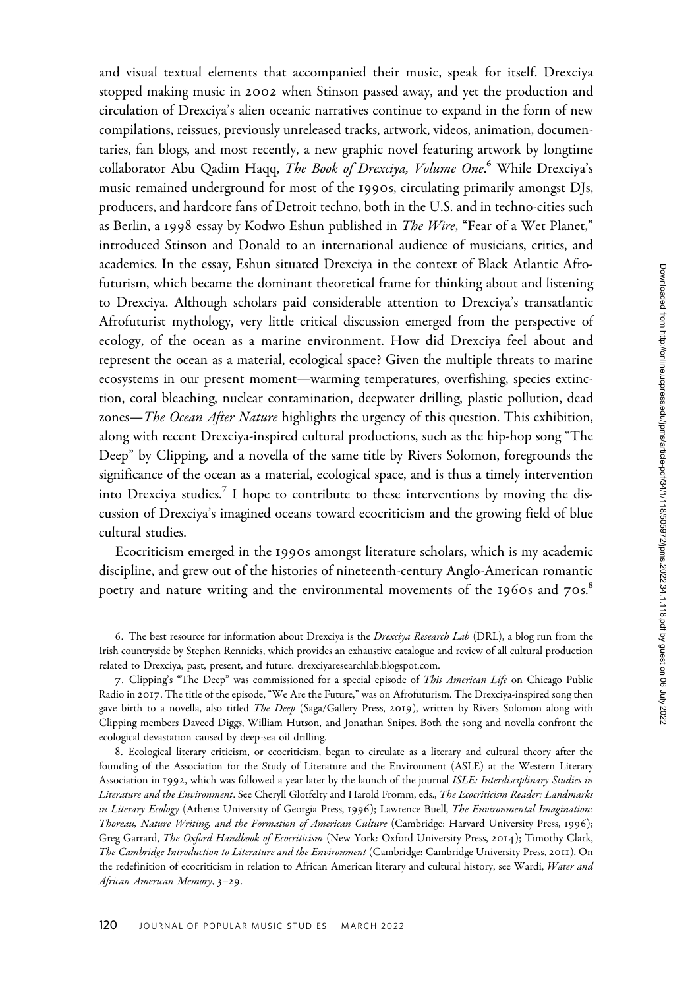and visual textual elements that accompanied their music, speak for itself. Drexciya stopped making music in 2002 when Stinson passed away, and yet the production and circulation of Drexciya's alien oceanic narratives continue to expand in the form of new compilations, reissues, previously unreleased tracks, artwork, videos, animation, documentaries, fan blogs, and most recently, a new graphic novel featuring artwork by longtime collaborator Abu Qadim Haqq, *The Book of Drexciya, Volume One*.<sup>6</sup> While Drexciya's music remained underground for most of the 1990s, circulating primarily amongst DJs, producers, and hardcore fans of Detroit techno, both in the U.S. and in techno-cities such as Berlin, a 1998 essay by Kodwo Eshun published in *The Wire*, "Fear of a Wet Planet," introduced Stinson and Donald to an international audience of musicians, critics, and academics. In the essay, Eshun situated Drexciya in the context of Black Atlantic Afrofuturism, which became the dominant theoretical frame for thinking about and listening to Drexciya. Although scholars paid considerable attention to Drexciya's transatlantic Afrofuturist mythology, very little critical discussion emerged from the perspective of ecology, of the ocean as a marine environment. How did Drexciya feel about and represent the ocean as a material, ecological space? Given the multiple threats to marine ecosystems in our present moment—warming temperatures, overfishing, species extinction, coral bleaching, nuclear contamination, deepwater drilling, plastic pollution, dead zones—The Ocean After Nature highlights the urgency of this question. This exhibition, along with recent Drexciya-inspired cultural productions, such as the hip-hop song "The Deep" by Clipping, and a novella of the same title by Rivers Solomon, foregrounds the significance of the ocean as a material, ecological space, and is thus a timely intervention into Drexciya studies.<sup>7</sup> I hope to contribute to these interventions by moving the discussion of Drexciya's imagined oceans toward ecocriticism and the growing field of blue cultural studies.

Ecocriticism emerged in the 1990s amongst literature scholars, which is my academic discipline, and grew out of the histories of nineteenth-century Anglo-American romantic poetry and nature writing and the environmental movements of the 1960s and  $70s$ .<sup>8</sup>

8. Ecological literary criticism, or ecocriticism, began to circulate as a literary and cultural theory after the founding of the Association for the Study of Literature and the Environment (ASLE) at the Western Literary Association in 1992, which was followed a year later by the launch of the journal ISLE: Interdisciplinary Studies in Literature and the Environment. See Cheryll Glotfelty and Harold Fromm, eds., The Ecocriticism Reader: Landmarks in Literary Ecology (Athens: University of Georgia Press, 1996); Lawrence Buell, The Environmental Imagination: Thoreau, Nature Writing, and the Formation of American Culture (Cambridge: Harvard University Press, 1996); Greg Garrard, The Oxford Handbook of Ecocriticism (New York: Oxford University Press, 2014); Timothy Clark, The Cambridge Introduction to Literature and the Environment (Cambridge: Cambridge University Press, 2011). On the redefinition of ecocriticism in relation to African American literary and cultural history, see Wardi, Water and African American Memory, 3–29.

<sup>6</sup>. The best resource for information about Drexciya is the Drexciya Research Lab (DRL), a blog run from the Irish countryside by Stephen Rennicks, which provides an exhaustive catalogue and review of all cultural production related to Drexciya, past, present, and future. [drexciyaresearchlab.blogspot.com.](drexciyaresearchlab.blogspot.com)

<sup>7.</sup> Clipping's "The Deep" was commissioned for a special episode of This American Life on Chicago Public Radio in 2017. The title of the episode, "We Are the Future," was on Afrofuturism. The Drexciya-inspired song then gave birth to a novella, also titled *The Deep* (Saga/Gallery Press, 2019), written by Rivers Solomon along with Clipping members Daveed Diggs, William Hutson, and Jonathan Snipes. Both the song and novella confront the ecological devastation caused by deep-sea oil drilling.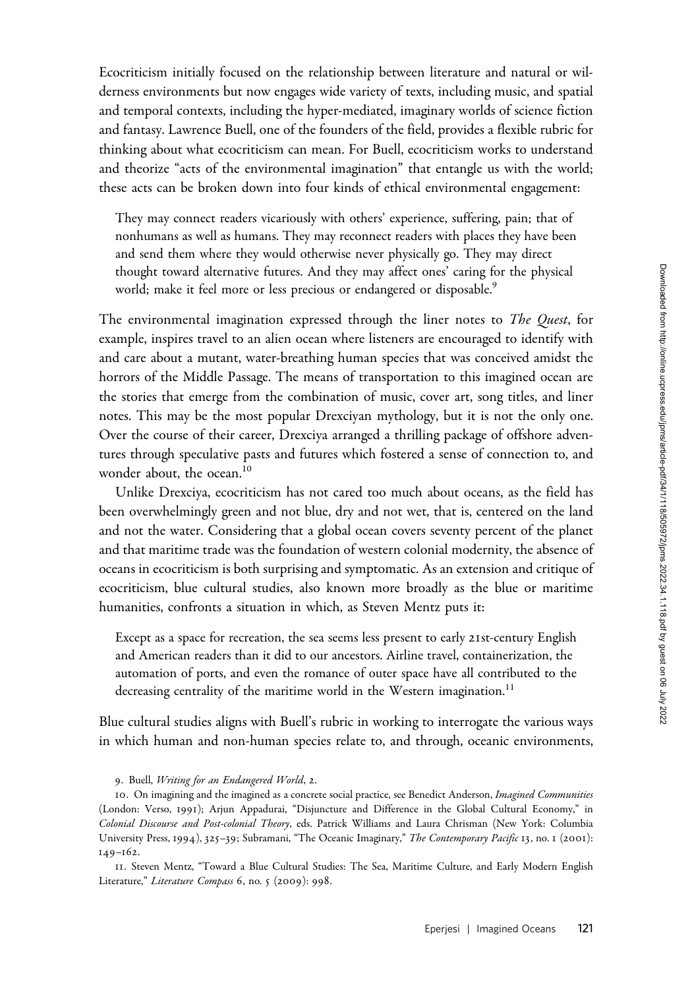Ecocriticism initially focused on the relationship between literature and natural or wilderness environments but now engages wide variety of texts, including music, and spatial and temporal contexts, including the hyper-mediated, imaginary worlds of science fiction and fantasy. Lawrence Buell, one of the founders of the field, provides a flexible rubric for thinking about what ecocriticism can mean. For Buell, ecocriticism works to understand and theorize "acts of the environmental imagination" that entangle us with the world; these acts can be broken down into four kinds of ethical environmental engagement:

They may connect readers vicariously with others' experience, suffering, pain; that of nonhumans as well as humans. They may reconnect readers with places they have been and send them where they would otherwise never physically go. They may direct thought toward alternative futures. And they may affect ones' caring for the physical world; make it feel more or less precious or endangered or disposable.<sup>9</sup>

The environmental imagination expressed through the liner notes to *The Quest*, for example, inspires travel to an alien ocean where listeners are encouraged to identify with and care about a mutant, water-breathing human species that was conceived amidst the horrors of the Middle Passage. The means of transportation to this imagined ocean are the stories that emerge from the combination of music, cover art, song titles, and liner notes. This may be the most popular Drexciyan mythology, but it is not the only one. Over the course of their career, Drexciya arranged a thrilling package of offshore adventures through speculative pasts and futures which fostered a sense of connection to, and wonder about, the ocean.<sup>10</sup>

Unlike Drexciya, ecocriticism has not cared too much about oceans, as the field has been overwhelmingly green and not blue, dry and not wet, that is, centered on the land and not the water. Considering that a global ocean covers seventy percent of the planet and that maritime trade was the foundation of western colonial modernity, the absence of oceans in ecocriticism is both surprising and symptomatic. As an extension and critique of ecocriticism, blue cultural studies, also known more broadly as the blue or maritime humanities, confronts a situation in which, as Steven Mentz puts it:

Except as a space for recreation, the sea seems less present to early 21st-century English and American readers than it did to our ancestors. Airline travel, containerization, the automation of ports, and even the romance of outer space have all contributed to the decreasing centrality of the maritime world in the Western imagination.<sup>11</sup>

Blue cultural studies aligns with Buell's rubric in working to interrogate the various ways in which human and non-human species relate to, and through, oceanic environments,

11. Steven Mentz, "Toward a Blue Cultural Studies: The Sea, Maritime Culture, and Early Modern English Literature," Literature Compass 6, no. 5 (2009): 998.

<sup>9</sup>. Buell, Writing for an Endangered World, 2.

<sup>10.</sup> On imagining and the imagined as a concrete social practice, see Benedict Anderson, Imagined Communities (London: Verso, 1991); Arjun Appadurai, "Disjuncture and Difference in the Global Cultural Economy," in Colonial Discourse and Post-colonial Theory, eds. Patrick Williams and Laura Chrisman (New York: Columbia University Press, 1994), 325-39; Subramani, "The Oceanic Imaginary," The Contemporary Pacific 13, no. 1 (2001): 149–162.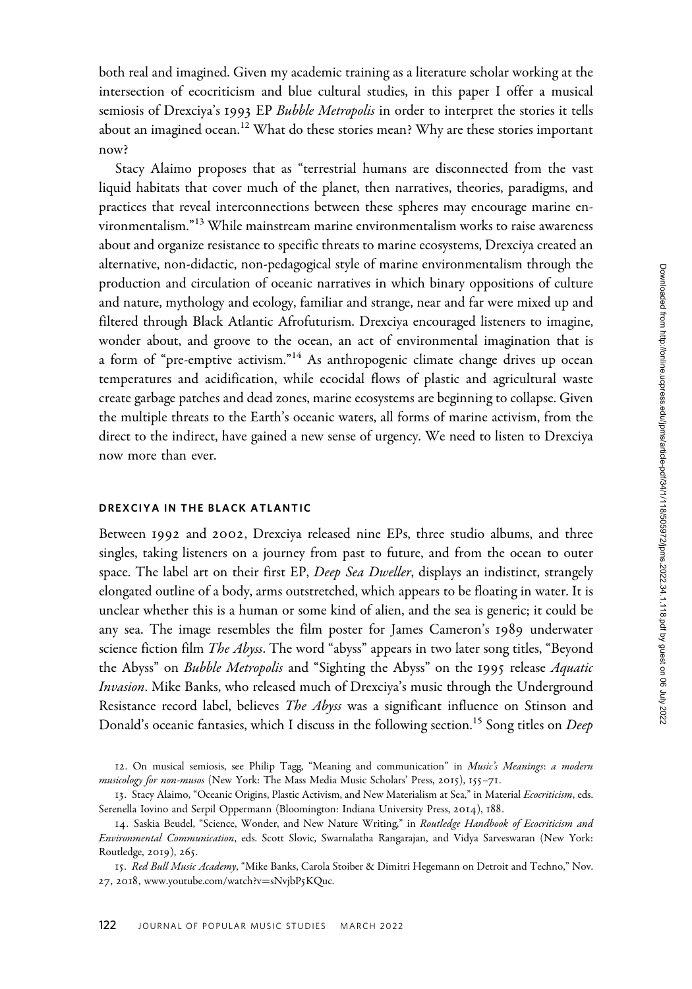both real and imagined. Given my academic training as a literature scholar working at the intersection of ecocriticism and blue cultural studies, in this paper I offer a musical semiosis of Drexciya's 1993 EP Bubble Metropolis in order to interpret the stories it tells about an imagined ocean.<sup>12</sup> What do these stories mean? Why are these stories important now?

Stacy Alaimo proposes that as "terrestrial humans are disconnected from the vast liquid habitats that cover much of the planet, then narratives, theories, paradigms, and practices that reveal interconnections between these spheres may encourage marine environmentalism."<sup>13</sup> While mainstream marine environmentalism works to raise awareness about and organize resistance to specific threats to marine ecosystems, Drexciya created an alternative, non-didactic, non-pedagogical style of marine environmentalism through the production and circulation of oceanic narratives in which binary oppositions of culture and nature, mythology and ecology, familiar and strange, near and far were mixed up and filtered through Black Atlantic Afrofuturism. Drexciya encouraged listeners to imagine, wonder about, and groove to the ocean, an act of environmental imagination that is a form of "pre-emptive activism."<sup>14</sup> As anthropogenic climate change drives up ocean temperatures and acidification, while ecocidal flows of plastic and agricultural waste create garbage patches and dead zones, marine ecosystems are beginning to collapse. Given the multiple threats to the Earth's oceanic waters, all forms of marine activism, from the direct to the indirect, have gained a new sense of urgency. We need to listen to Drexciya now more than ever.

### DREXCIYA IN THE BLACK ATLANTIC

Between 1992 and 2002, Drexciya released nine EPs, three studio albums, and three singles, taking listeners on a journey from past to future, and from the ocean to outer space. The label art on their first EP, Deep Sea Dweller, displays an indistinct, strangely elongated outline of a body, arms outstretched, which appears to be floating in water. It is unclear whether this is a human or some kind of alien, and the sea is generic; it could be any sea. The image resembles the film poster for James Cameron's 1989 underwater science fiction film *The Abyss*. The word "abyss" appears in two later song titles, "Beyond the Abyss" on Bubble Metropolis and "Sighting the Abyss" on the 1995 release Aquatic Invasion. Mike Banks, who released much of Drexciya's music through the Underground Resistance record label, believes *The Abyss* was a significant influence on Stinson and Donald's oceanic fantasies, which I discuss in the following section.<sup>15</sup> Song titles on *Deep* 

<sup>12.</sup> On musical semiosis, see Philip Tagg, "Meaning and communication" in Music's Meanings: a modern musicology for non-musos (New York: The Mass Media Music Scholars' Press, 2015), 155-71.

<sup>13.</sup> Stacy Alaimo, "Oceanic Origins, Plastic Activism, and New Materialism at Sea," in Material Ecocriticism, eds. Serenella Iovino and Serpil Oppermann (Bloomington: Indiana University Press, 2014), 188.

<sup>14.</sup> Saskia Beudel, "Science, Wonder, and New Nature Writing," in Routledge Handbook of Ecocriticism and Environmental Communication, eds. Scott Slovic, Swarnalatha Rangarajan, and Vidya Sarveswaran (New York: Routledge, 2019), 265.

<sup>15.</sup> Red Bull Music Academy, "Mike Banks, Carola Stoiber & Dimitri Hegemann on Detroit and Techno," Nov. 27, 2018, [www.youtube.com/watch?v](www.youtube.com/watch?v=sNvjbP5KQuc)=[sNvjbP](www.youtube.com/watch?v=sNvjbP5KQuc)5KQuc.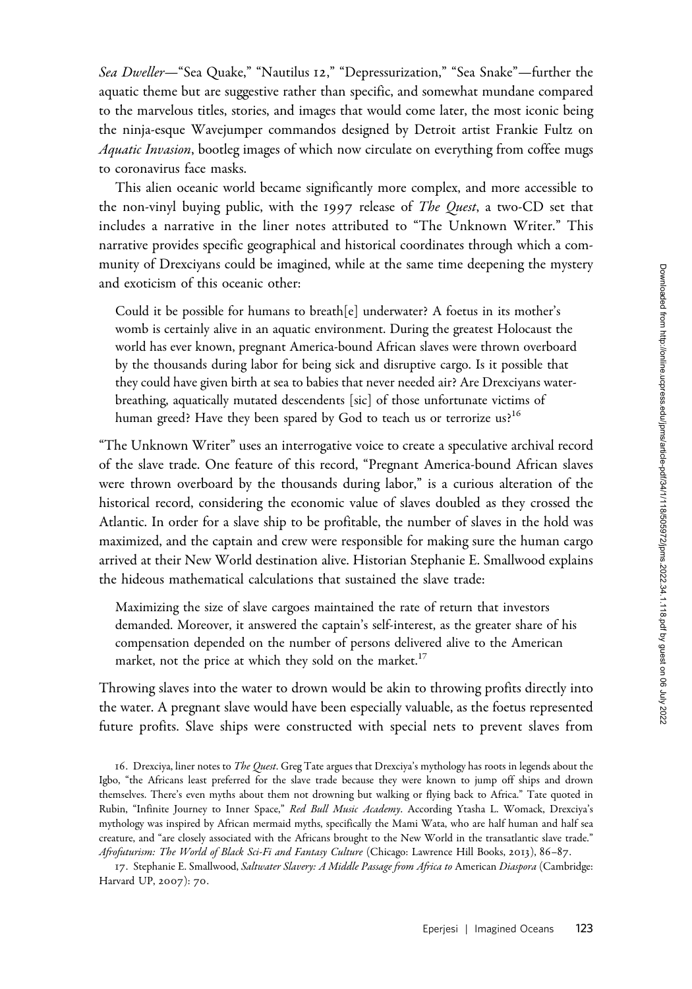Sea Dweller-"Sea Quake," "Nautilus 12," "Depressurization," "Sea Snake"-further the aquatic theme but are suggestive rather than specific, and somewhat mundane compared to the marvelous titles, stories, and images that would come later, the most iconic being the ninja-esque Wavejumper commandos designed by Detroit artist Frankie Fultz on *Aquatic Invasion*, bootleg images of which now circulate on everything from coffee mugs to coronavirus face masks.

This alien oceanic world became significantly more complex, and more accessible to the non-vinyl buying public, with the 1997 release of *The Quest*, a two-CD set that includes a narrative in the liner notes attributed to "The Unknown Writer." This narrative provides specific geographical and historical coordinates through which a community of Drexciyans could be imagined, while at the same time deepening the mystery and exoticism of this oceanic other:

Could it be possible for humans to breath[e] underwater? A foetus in its mother's womb is certainly alive in an aquatic environment. During the greatest Holocaust the world has ever known, pregnant America-bound African slaves were thrown overboard by the thousands during labor for being sick and disruptive cargo. Is it possible that they could have given birth at sea to babies that never needed air? Are Drexciyans waterbreathing, aquatically mutated descendents [sic] of those unfortunate victims of human greed? Have they been spared by God to teach us or terrorize us?<sup>16</sup>

"The Unknown Writer" uses an interrogative voice to create a speculative archival record of the slave trade. One feature of this record, "Pregnant America-bound African slaves were thrown overboard by the thousands during labor," is a curious alteration of the historical record, considering the economic value of slaves doubled as they crossed the Atlantic. In order for a slave ship to be profitable, the number of slaves in the hold was maximized, and the captain and crew were responsible for making sure the human cargo arrived at their New World destination alive. Historian Stephanie E. Smallwood explains the hideous mathematical calculations that sustained the slave trade:

Maximizing the size of slave cargoes maintained the rate of return that investors demanded. Moreover, it answered the captain's self-interest, as the greater share of his compensation depended on the number of persons delivered alive to the American market, not the price at which they sold on the market.<sup>17</sup>

Throwing slaves into the water to drown would be akin to throwing profits directly into the water. A pregnant slave would have been especially valuable, as the foetus represented future profits. Slave ships were constructed with special nets to prevent slaves from

17. Stephanie E. Smallwood, Saltwater Slavery: A Middle Passage from Africa to American Diaspora (Cambridge: Harvard UP, 2007): 70.

<sup>16.</sup> Drexciya, liner notes to The Quest. Greg Tate argues that Drexciya's mythology has roots in legends about the Igbo, "the Africans least preferred for the slave trade because they were known to jump off ships and drown themselves. There's even myths about them not drowning but walking or flying back to Africa." Tate quoted in Rubin, "Infinite Journey to Inner Space," Red Bull Music Academy. According Ytasha L. Womack, Drexciya's mythology was inspired by African mermaid myths, specifically the Mami Wata, who are half human and half sea creature, and "are closely associated with the Africans brought to the New World in the transatlantic slave trade." Afrofuturism: The World of Black Sci-Fi and Fantasy Culture (Chicago: Lawrence Hill Books, 2013), 86–87.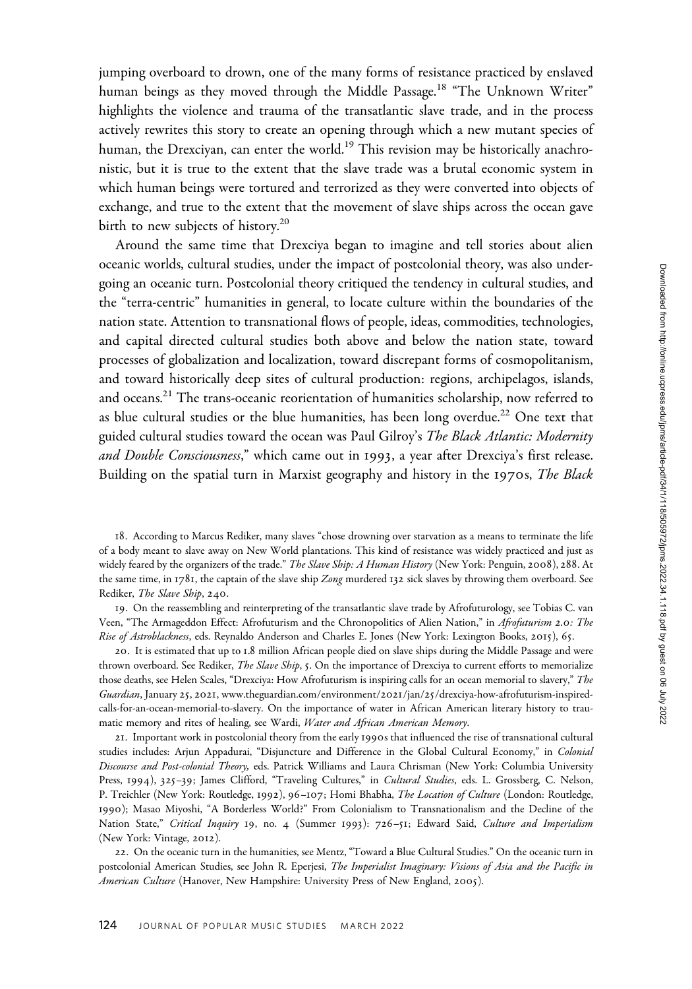jumping overboard to drown, one of the many forms of resistance practiced by enslaved human beings as they moved through the Middle Passage.<sup>18</sup> "The Unknown Writer" highlights the violence and trauma of the transatlantic slave trade, and in the process actively rewrites this story to create an opening through which a new mutant species of human, the Drexciyan, can enter the world.<sup>19</sup> This revision may be historically anachronistic, but it is true to the extent that the slave trade was a brutal economic system in which human beings were tortured and terrorized as they were converted into objects of exchange, and true to the extent that the movement of slave ships across the ocean gave birth to new subjects of history.20

Around the same time that Drexciya began to imagine and tell stories about alien oceanic worlds, cultural studies, under the impact of postcolonial theory, was also undergoing an oceanic turn. Postcolonial theory critiqued the tendency in cultural studies, and the "terra-centric" humanities in general, to locate culture within the boundaries of the nation state. Attention to transnational flows of people, ideas, commodities, technologies, and capital directed cultural studies both above and below the nation state, toward processes of globalization and localization, toward discrepant forms of cosmopolitanism, and toward historically deep sites of cultural production: regions, archipelagos, islands, and oceans.<sup>21</sup> The trans-oceanic reorientation of humanities scholarship, now referred to as blue cultural studies or the blue humanities, has been long overdue.<sup>22</sup> One text that guided cultural studies toward the ocean was Paul Gilroy's The Black Atlantic: Modernity and Double Consciousness," which came out in 1993, a year after Drexciya's first release. Building on the spatial turn in Marxist geography and history in the 1970s, The Black

18. According to Marcus Rediker, many slaves "chose drowning over starvation as a means to terminate the life of a body meant to slave away on New World plantations. This kind of resistance was widely practiced and just as widely feared by the organizers of the trade." The Slave Ship: A Human History (New York: Penguin, 2008), 288. At the same time, in 1781, the captain of the slave ship Zong murdered 132 sick slaves by throwing them overboard. See Rediker, The Slave Ship, 240.

19. On the reassembling and reinterpreting of the transatlantic slave trade by Afrofuturology, see Tobias C. van Veen, "The Armageddon Effect: Afrofuturism and the Chronopolitics of Alien Nation," in Afrofuturism 2.0: The Rise of Astroblackness, eds. Reynaldo Anderson and Charles E. Jones (New York: Lexington Books, 2015), 65.

20. It is estimated that up to 1.8 million African people died on slave ships during the Middle Passage and were thrown overboard. See Rediker, The Slave Ship, 5. On the importance of Drexciya to current efforts to memorialize those deaths, see Helen Scales, "Drexciya: How Afrofuturism is inspiring calls for an ocean memorial to slavery," The Guardian, January 25, 2021, [www.theguardian.com/environment/](www.theguardian.com/environment/2021/jan/25/drexciya-how-afrofuturism-inspired-calls-for-an-ocean-memorial-to-slavery)2021/jan/25/drexciya-how-afrofuturism-inspired[calls-for-an-ocean-memorial-to-slavery](www.theguardian.com/environment/2021/jan/25/drexciya-how-afrofuturism-inspired-calls-for-an-ocean-memorial-to-slavery). On the importance of water in African American literary history to traumatic memory and rites of healing, see Wardi, Water and African American Memory.

21. Important work in postcolonial theory from the early 1990s that influenced the rise of transnational cultural studies includes: Arjun Appadurai, "Disjuncture and Difference in the Global Cultural Economy," in Colonial Discourse and Post-colonial Theory, eds. Patrick Williams and Laura Chrisman (New York: Columbia University Press, 1994), 325-39; James Clifford, "Traveling Cultures," in Cultural Studies, eds. L. Grossberg, C. Nelson, P. Treichler (New York: Routledge, 1992), 96-107; Homi Bhabha, The Location of Culture (London: Routledge, 1990); Masao Miyoshi, "A Borderless World?" From Colonialism to Transnationalism and the Decline of the Nation State," Critical Inquiry 19, no. 4 (Summer 1993): 726-51; Edward Said, Culture and Imperialism (New York: Vintage, 2012).

22. On the oceanic turn in the humanities, see Mentz, "Toward a Blue Cultural Studies." On the oceanic turn in postcolonial American Studies, see John R. Eperjesi, The Imperialist Imaginary: Visions of Asia and the Pacific in American Culture (Hanover, New Hampshire: University Press of New England, 2005).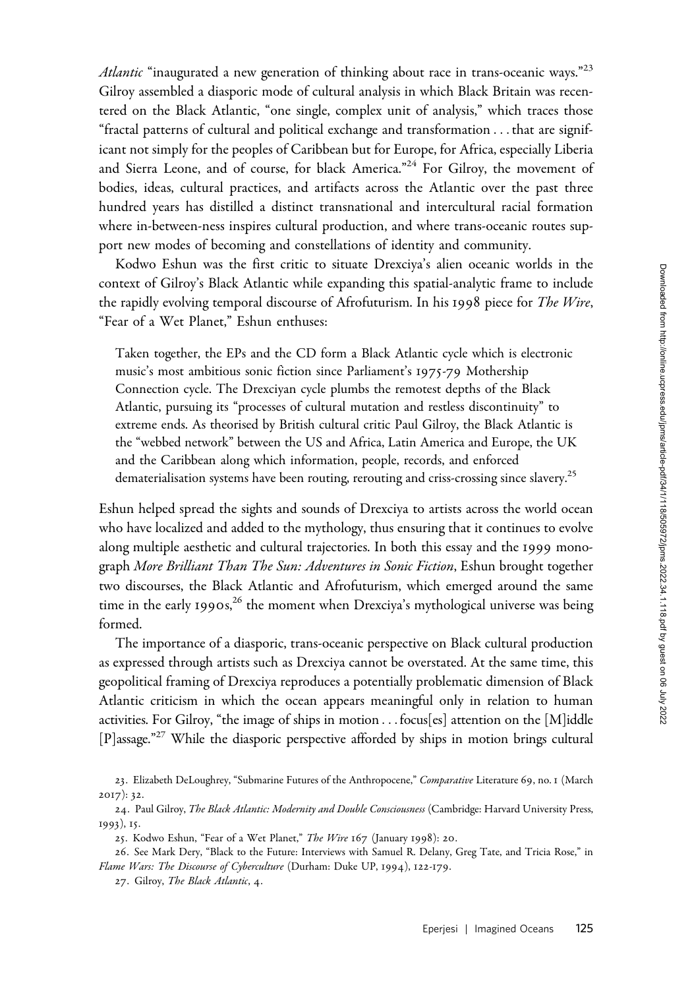Atlantic "inaugurated a new generation of thinking about race in trans-oceanic ways."<sup>23</sup> Gilroy assembled a diasporic mode of cultural analysis in which Black Britain was recentered on the Black Atlantic, "one single, complex unit of analysis," which traces those "fractal patterns of cultural and political exchange and transformation ...that are significant not simply for the peoples of Caribbean but for Europe, for Africa, especially Liberia and Sierra Leone, and of course, for black America."<sup>24</sup> For Gilroy, the movement of bodies, ideas, cultural practices, and artifacts across the Atlantic over the past three hundred years has distilled a distinct transnational and intercultural racial formation where in-between-ness inspires cultural production, and where trans-oceanic routes support new modes of becoming and constellations of identity and community.

Kodwo Eshun was the first critic to situate Drexciya's alien oceanic worlds in the context of Gilroy's Black Atlantic while expanding this spatial-analytic frame to include the rapidly evolving temporal discourse of Afrofuturism. In his 1998 piece for *The Wire*, "Fear of a Wet Planet," Eshun enthuses:

Taken together, the EPs and the CD form a Black Atlantic cycle which is electronic music's most ambitious sonic fiction since Parliament's 1975-79 Mothership Connection cycle. The Drexciyan cycle plumbs the remotest depths of the Black Atlantic, pursuing its "processes of cultural mutation and restless discontinuity" to extreme ends. As theorised by British cultural critic Paul Gilroy, the Black Atlantic is the "webbed network" between the US and Africa, Latin America and Europe, the UK and the Caribbean along which information, people, records, and enforced dematerialisation systems have been routing, rerouting and criss-crossing since slavery.<sup>25</sup>

Eshun helped spread the sights and sounds of Drexciya to artists across the world ocean who have localized and added to the mythology, thus ensuring that it continues to evolve along multiple aesthetic and cultural trajectories. In both this essay and the 1999 monograph More Brilliant Than The Sun: Adventures in Sonic Fiction, Eshun brought together two discourses, the Black Atlantic and Afrofuturism, which emerged around the same time in the early 1990s,<sup>26</sup> the moment when Drexciya's mythological universe was being formed.

The importance of a diasporic, trans-oceanic perspective on Black cultural production as expressed through artists such as Drexciya cannot be overstated. At the same time, this geopolitical framing of Drexciya reproduces a potentially problematic dimension of Black Atlantic criticism in which the ocean appears meaningful only in relation to human activities. For Gilroy, "the image of ships in motion  $\dots$  focus[es] attention on the [M]iddle [P]assage."27 While the diasporic perspective afforded by ships in motion brings cultural

<sup>23.</sup> Elizabeth DeLoughrey, "Submarine Futures of the Anthropocene," Comparative Literature 69, no. 1 (March 2017): 32.

<sup>24.</sup> Paul Gilroy, The Black Atlantic: Modernity and Double Consciousness (Cambridge: Harvard University Press, 1993), 15.

<sup>25</sup>. Kodwo Eshun, "Fear of a Wet Planet," The Wire 167 (January 1998): 20.

<sup>26</sup>. See Mark Dery, "Black to the Future: Interviews with Samuel R. Delany, Greg Tate, and Tricia Rose," in Flame Wars: The Discourse of Cyberculture (Durham: Duke UP, 1994), 122-179.

<sup>27</sup>. Gilroy, The Black Atlantic, 4.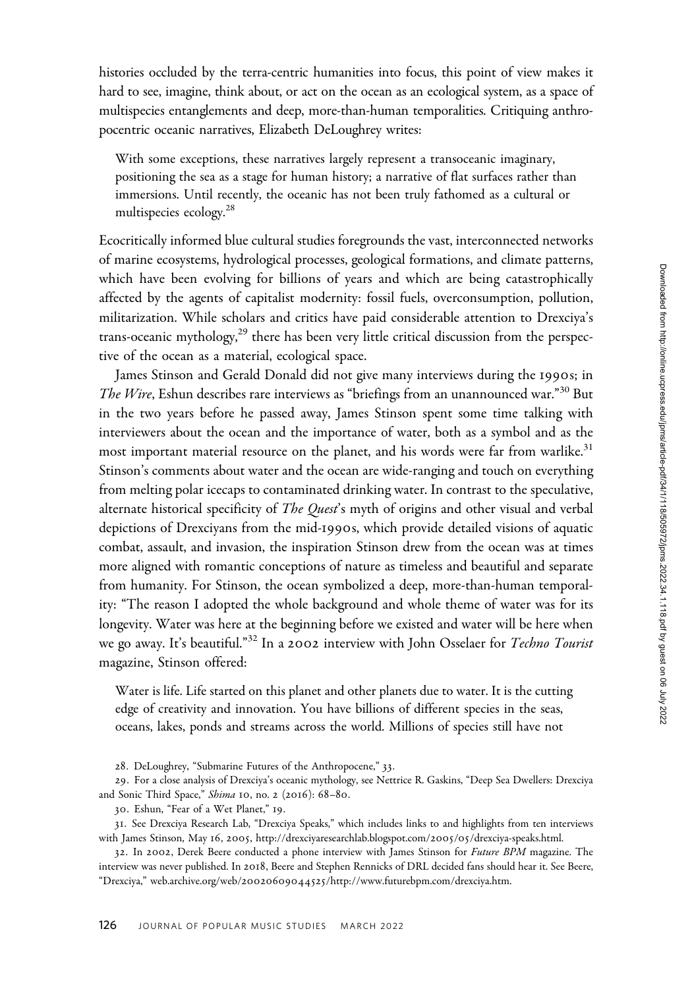histories occluded by the terra-centric humanities into focus, this point of view makes it hard to see, imagine, think about, or act on the ocean as an ecological system, as a space of multispecies entanglements and deep, more-than-human temporalities. Critiquing anthropocentric oceanic narratives, Elizabeth DeLoughrey writes:

With some exceptions, these narratives largely represent a transoceanic imaginary, positioning the sea as a stage for human history; a narrative of flat surfaces rather than immersions. Until recently, the oceanic has not been truly fathomed as a cultural or multispecies ecology.<sup>28</sup>

Ecocritically informed blue cultural studies foregrounds the vast, interconnected networks of marine ecosystems, hydrological processes, geological formations, and climate patterns, which have been evolving for billions of years and which are being catastrophically affected by the agents of capitalist modernity: fossil fuels, overconsumption, pollution, militarization. While scholars and critics have paid considerable attention to Drexciya's trans-oceanic mythology, $^{29}$  there has been very little critical discussion from the perspective of the ocean as a material, ecological space.

James Stinson and Gerald Donald did not give many interviews during the 1990s; in The Wire, Eshun describes rare interviews as "briefings from an unannounced war."<sup>30</sup> But in the two years before he passed away, James Stinson spent some time talking with interviewers about the ocean and the importance of water, both as a symbol and as the most important material resource on the planet, and his words were far from warlike.<sup>31</sup> Stinson's comments about water and the ocean are wide-ranging and touch on everything from melting polar icecaps to contaminated drinking water. In contrast to the speculative, alternate historical specificity of *The Quest's* myth of origins and other visual and verbal depictions of Drexciyans from the mid-1990s, which provide detailed visions of aquatic combat, assault, and invasion, the inspiration Stinson drew from the ocean was at times more aligned with romantic conceptions of nature as timeless and beautiful and separate from humanity. For Stinson, the ocean symbolized a deep, more-than-human temporality: "The reason I adopted the whole background and whole theme of water was for its longevity. Water was here at the beginning before we existed and water will be here when we go away. It's beautiful."<sup>32</sup> In a 2002 interview with John Osselaer for Techno Tourist magazine, Stinson offered:

Water is life. Life started on this planet and other planets due to water. It is the cutting edge of creativity and innovation. You have billions of different species in the seas, oceans, lakes, ponds and streams across the world. Millions of species still have not

28. DeLoughrey, "Submarine Futures of the Anthropocene," 33.

29. For a close analysis of Drexciya's oceanic mythology, see Nettrice R. Gaskins, "Deep Sea Dwellers: Drexciya and Sonic Third Space," Shima 10, no. 2 (2016): 68–80.

31. See Drexciya Research Lab, "Drexciya Speaks," which includes links to and highlights from ten interviews with James Stinson, May 16, 2005, [http://drexciyaresearchlab.blogspot.com/](http://drexciyaresearchlab.blogspot.com/2005/05/drexciya-speaks.html)2005/05/drexciya-speaks.html.

32. In 2002, Derek Beere conducted a phone interview with James Stinson for Future BPM magazine. The interview was never published. In 2018, Beere and Stephen Rennicks of DRL decided fans should hear it. See Beere, "Drexciya," web.archive.org/web/20020609044525[/http://www.futurebpm.com/drexciya.htm](web.archive.org/web/20020609044525/http://www.futurebpm.com/drexciya.htm).

<sup>30</sup>. Eshun, "Fear of a Wet Planet," 19.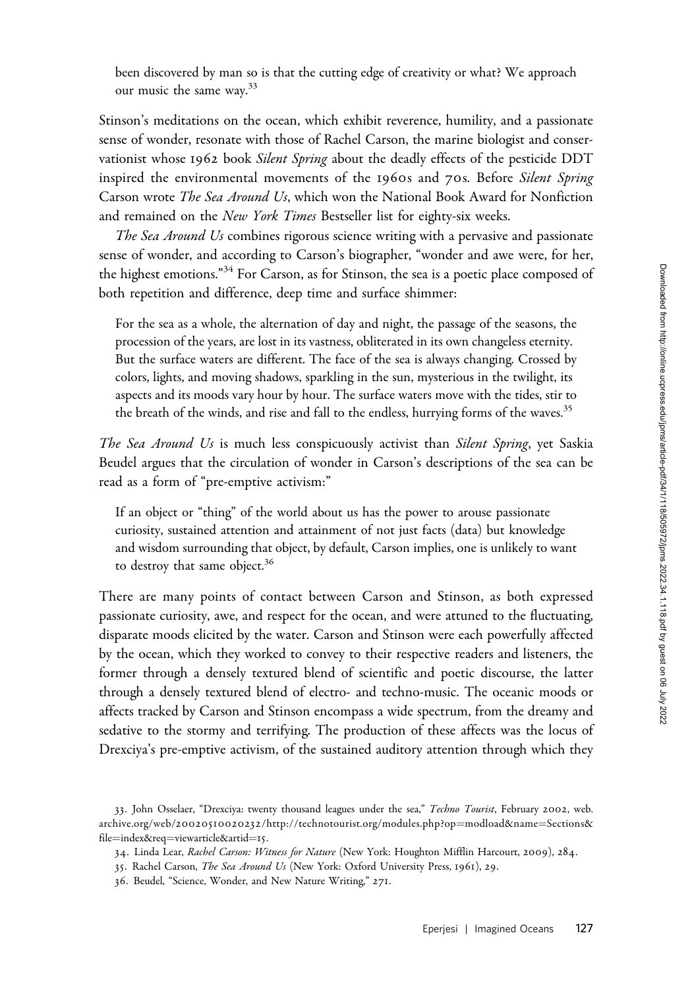been discovered by man so is that the cutting edge of creativity or what? We approach our music the same way.<sup>33</sup>

Stinson's meditations on the ocean, which exhibit reverence, humility, and a passionate sense of wonder, resonate with those of Rachel Carson, the marine biologist and conservationist whose 1962 book Silent Spring about the deadly effects of the pesticide DDT inspired the environmental movements of the 1960s and 70s. Before Silent Spring Carson wrote *The Sea Around Us*, which won the National Book Award for Nonfiction and remained on the New York Times Bestseller list for eighty-six weeks.

The Sea Around Us combines rigorous science writing with a pervasive and passionate sense of wonder, and according to Carson's biographer, "wonder and awe were, for her, the highest emotions."<sup>34</sup> For Carson, as for Stinson, the sea is a poetic place composed of both repetition and difference, deep time and surface shimmer:

For the sea as a whole, the alternation of day and night, the passage of the seasons, the procession of the years, are lost in its vastness, obliterated in its own changeless eternity. But the surface waters are different. The face of the sea is always changing. Crossed by colors, lights, and moving shadows, sparkling in the sun, mysterious in the twilight, its aspects and its moods vary hour by hour. The surface waters move with the tides, stir to the breath of the winds, and rise and fall to the endless, hurrying forms of the waves.<sup>35</sup>

The Sea Around Us is much less conspicuously activist than Silent Spring, yet Saskia Beudel argues that the circulation of wonder in Carson's descriptions of the sea can be read as a form of "pre-emptive activism:"

If an object or "thing" of the world about us has the power to arouse passionate curiosity, sustained attention and attainment of not just facts (data) but knowledge and wisdom surrounding that object, by default, Carson implies, one is unlikely to want to destroy that same object.<sup>36</sup>

There are many points of contact between Carson and Stinson, as both expressed passionate curiosity, awe, and respect for the ocean, and were attuned to the fluctuating, disparate moods elicited by the water. Carson and Stinson were each powerfully affected by the ocean, which they worked to convey to their respective readers and listeners, the former through a densely textured blend of scientific and poetic discourse, the latter through a densely textured blend of electro- and techno-music. The oceanic moods or affects tracked by Carson and Stinson encompass a wide spectrum, from the dreamy and sedative to the stormy and terrifying. The production of these affects was the locus of Drexciya's pre-emptive activism, of the sustained auditory attention through which they

<sup>33.</sup> John Osselaer, "Drexciya: twenty thousand leagues under the sea," Techno Tourist, February 2002, [web.](web.archive.org/web/20020510020232/http://technotourist.org/modules.php?op=modload&name=Sections&file=index&req=viewarticle&artid=15) archive.org/web/20020510020232[/http://technotourist.org/modules.php?op](web.archive.org/web/20020510020232/http://technotourist.org/modules.php?op=modload&name=Sections&file=index&req=viewarticle&artid=15)=[modload&name](web.archive.org/web/20020510020232/http://technotourist.org/modules.php?op=modload&name=Sections&file=index&req=viewarticle&artid=15)=[Sections&](web.archive.org/web/20020510020232/http://technotourist.org/modules.php?op=modload&name=Sections&file=index&req=viewarticle&artid=15) [file](web.archive.org/web/20020510020232/http://technotourist.org/modules.php?op=modload&name=Sections&file=index&req=viewarticle&artid=15)=[index&req](web.archive.org/web/20020510020232/http://technotourist.org/modules.php?op=modload&name=Sections&file=index&req=viewarticle&artid=15)=[viewarticle&artid](web.archive.org/web/20020510020232/http://technotourist.org/modules.php?op=modload&name=Sections&file=index&req=viewarticle&artid=15)=[15](web.archive.org/web/20020510020232/http://technotourist.org/modules.php?op=modload&name=Sections&file=index&req=viewarticle&artid=15).

<sup>34</sup>. Linda Lear, Rachel Carson: Witness for Nature (New York: Houghton Mifflin Harcourt, 2009), 284.

<sup>35</sup>. Rachel Carson, The Sea Around Us (New York: Oxford University Press, 1961), 29.

<sup>36</sup>. Beudel, "Science, Wonder, and New Nature Writing," 271.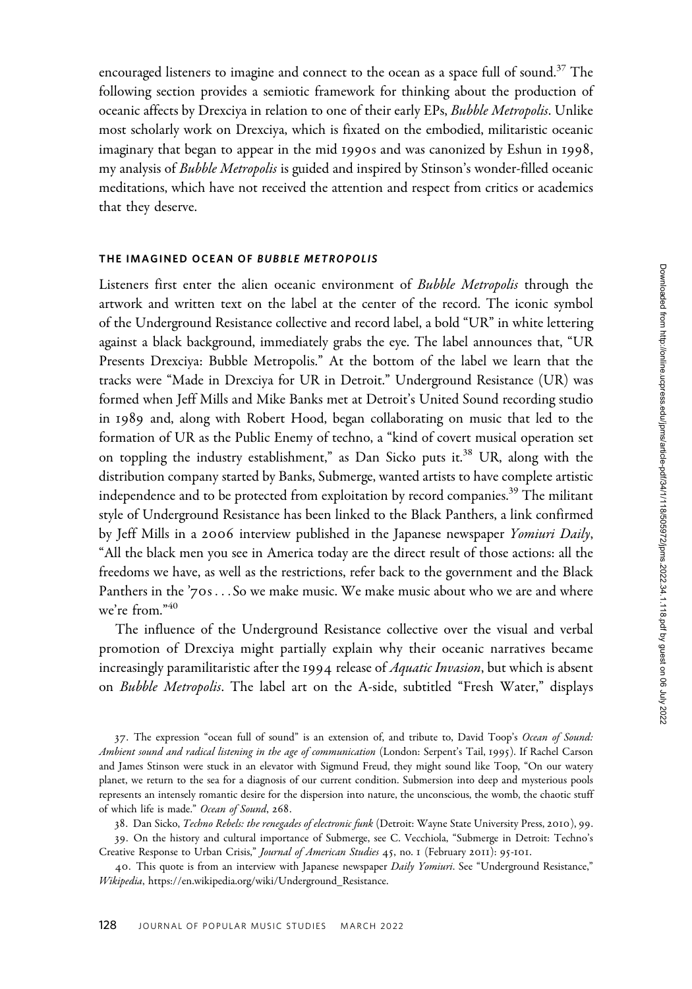encouraged listeners to imagine and connect to the ocean as a space full of sound.<sup>37</sup> The following section provides a semiotic framework for thinking about the production of oceanic affects by Drexciya in relation to one of their early EPs, Bubble Metropolis. Unlike most scholarly work on Drexciya, which is fixated on the embodied, militaristic oceanic imaginary that began to appear in the mid 1990s and was canonized by Eshun in 1998, my analysis of Bubble Metropolis is guided and inspired by Stinson's wonder-filled oceanic meditations, which have not received the attention and respect from critics or academics that they deserve.

## THE IMAGINED OCEAN OF BUBBLE METROPOLIS

Listeners first enter the alien oceanic environment of Bubble Metropolis through the artwork and written text on the label at the center of the record. The iconic symbol of the Underground Resistance collective and record label, a bold "UR" in white lettering against a black background, immediately grabs the eye. The label announces that, "UR Presents Drexciya: Bubble Metropolis." At the bottom of the label we learn that the tracks were "Made in Drexciya for UR in Detroit." Underground Resistance (UR) was formed when Jeff Mills and Mike Banks met at Detroit's United Sound recording studio in 1989 and, along with Robert Hood, began collaborating on music that led to the formation of UR as the Public Enemy of techno, a "kind of covert musical operation set on toppling the industry establishment," as Dan Sicko puts it.<sup>38</sup> UR, along with the distribution company started by Banks, Submerge, wanted artists to have complete artistic independence and to be protected from exploitation by record companies.<sup>39</sup> The militant style of Underground Resistance has been linked to the Black Panthers, a link confirmed by Jeff Mills in a 2006 interview published in the Japanese newspaper Yomiuri Daily, "All the black men you see in America today are the direct result of those actions: all the freedoms we have, as well as the restrictions, refer back to the government and the Black Panthers in the '70s ...So we make music. We make music about who we are and where we're from."<sup>40</sup>

The influence of the Underground Resistance collective over the visual and verbal promotion of Drexciya might partially explain why their oceanic narratives became increasingly paramilitaristic after the 1994 release of *Aquatic Invasion*, but which is absent on Bubble Metropolis. The label art on the A-side, subtitled "Fresh Water," displays

37. The expression "ocean full of sound" is an extension of, and tribute to, David Toop's Ocean of Sound: Ambient sound and radical listening in the age of communication (London: Serpent's Tail, 1995). If Rachel Carson and James Stinson were stuck in an elevator with Sigmund Freud, they might sound like Toop, "On our watery planet, we return to the sea for a diagnosis of our current condition. Submersion into deep and mysterious pools represents an intensely romantic desire for the dispersion into nature, the unconscious, the womb, the chaotic stuff of which life is made." Ocean of Sound, 268.

38. Dan Sicko, Techno Rebels: the renegades of electronic funk (Detroit: Wayne State University Press, 2010), 99.

39. On the history and cultural importance of Submerge, see C. Vecchiola, "Submerge in Detroit: Techno's Creative Response to Urban Crisis," Journal of American Studies 45, no. 1 (February 2011): 95-101.

40. This quote is from an interview with Japanese newspaper Daily Yomiuri. See "Underground Resistance," Wikipedia, [https://en.wikipedia.org/wiki/Underground\\_Resistance](https://en.wikipedia.org/wiki/Underground_Resistance).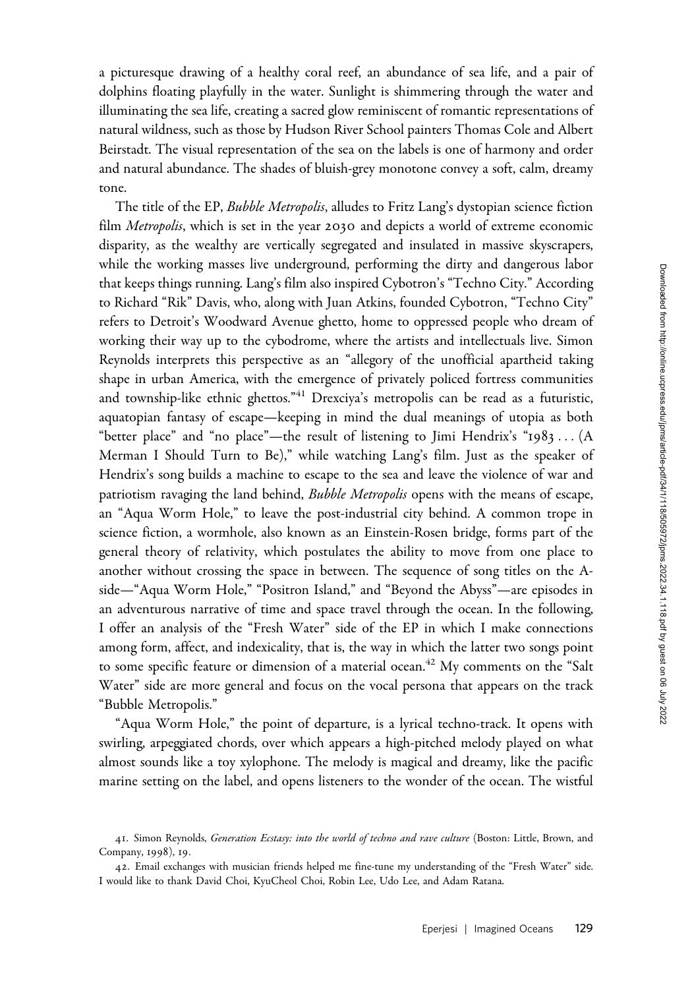a picturesque drawing of a healthy coral reef, an abundance of sea life, and a pair of dolphins floating playfully in the water. Sunlight is shimmering through the water and illuminating the sea life, creating a sacred glow reminiscent of romantic representations of natural wildness, such as those by Hudson River School painters Thomas Cole and Albert Beirstadt. The visual representation of the sea on the labels is one of harmony and order and natural abundance. The shades of bluish-grey monotone convey a soft, calm, dreamy tone.

The title of the EP, Bubble Metropolis, alludes to Fritz Lang's dystopian science fiction film *Metropolis*, which is set in the year 2030 and depicts a world of extreme economic disparity, as the wealthy are vertically segregated and insulated in massive skyscrapers, while the working masses live underground, performing the dirty and dangerous labor that keeps things running. Lang's film also inspired Cybotron's "Techno City." According to Richard "Rik" Davis, who, along with Juan Atkins, founded Cybotron, "Techno City" refers to Detroit's Woodward Avenue ghetto, home to oppressed people who dream of working their way up to the cybodrome, where the artists and intellectuals live. Simon Reynolds interprets this perspective as an "allegory of the unofficial apartheid taking shape in urban America, with the emergence of privately policed fortress communities and township-like ethnic ghettos.<sup>"41</sup> Drexciya's metropolis can be read as a futuristic, aquatopian fantasy of escape—keeping in mind the dual meanings of utopia as both "better place" and "no place"—the result of listening to Jimi Hendrix's "1983 ... (A Merman I Should Turn to Be)," while watching Lang's film. Just as the speaker of Hendrix's song builds a machine to escape to the sea and leave the violence of war and patriotism ravaging the land behind, *Bubble Metropolis* opens with the means of escape, an "Aqua Worm Hole," to leave the post-industrial city behind. A common trope in science fiction, a wormhole, also known as an Einstein-Rosen bridge, forms part of the general theory of relativity, which postulates the ability to move from one place to another without crossing the space in between. The sequence of song titles on the Aside—"Aqua Worm Hole," "Positron Island," and "Beyond the Abyss"—are episodes in an adventurous narrative of time and space travel through the ocean. In the following, I offer an analysis of the "Fresh Water" side of the EP in which I make connections among form, affect, and indexicality, that is, the way in which the latter two songs point to some specific feature or dimension of a material ocean.<sup>42</sup> My comments on the "Salt Water" side are more general and focus on the vocal persona that appears on the track "Bubble Metropolis."

"Aqua Worm Hole," the point of departure, is a lyrical techno-track. It opens with swirling, arpeggiated chords, over which appears a high-pitched melody played on what almost sounds like a toy xylophone. The melody is magical and dreamy, like the pacific marine setting on the label, and opens listeners to the wonder of the ocean. The wistful

<sup>41.</sup> Simon Reynolds, Generation Ecstasy: into the world of techno and rave culture (Boston: Little, Brown, and Company, 1998), 19.

<sup>42</sup>. Email exchanges with musician friends helped me fine-tune my understanding of the "Fresh Water" side. I would like to thank David Choi, KyuCheol Choi, Robin Lee, Udo Lee, and Adam Ratana.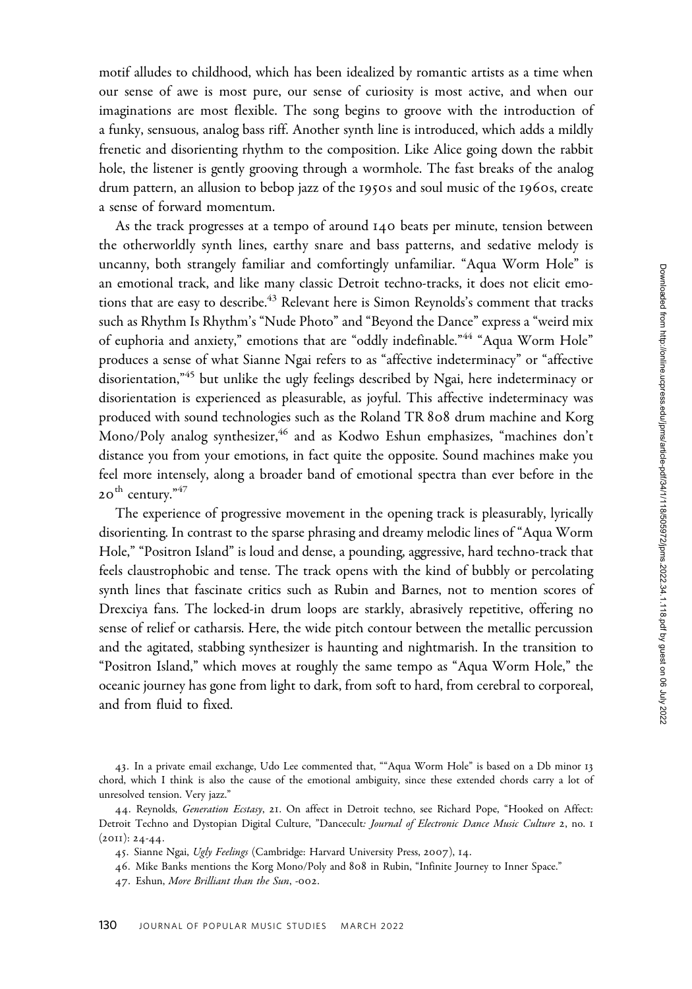motif alludes to childhood, which has been idealized by romantic artists as a time when our sense of awe is most pure, our sense of curiosity is most active, and when our imaginations are most flexible. The song begins to groove with the introduction of a funky, sensuous, analog bass riff. Another synth line is introduced, which adds a mildly frenetic and disorienting rhythm to the composition. Like Alice going down the rabbit hole, the listener is gently grooving through a wormhole. The fast breaks of the analog drum pattern, an allusion to bebop jazz of the 1950s and soul music of the 1960s, create a sense of forward momentum.

As the track progresses at a tempo of around 140 beats per minute, tension between the otherworldly synth lines, earthy snare and bass patterns, and sedative melody is uncanny, both strangely familiar and comfortingly unfamiliar. "Aqua Worm Hole" is an emotional track, and like many classic Detroit techno-tracks, it does not elicit emotions that are easy to describe.<sup>43</sup> Relevant here is Simon Reynolds's comment that tracks such as Rhythm Is Rhythm's "Nude Photo" and "Beyond the Dance" express a "weird mix of euphoria and anxiety," emotions that are "oddly indefinable."<sup>44</sup> "Aqua Worm Hole" produces a sense of what Sianne Ngai refers to as "affective indeterminacy" or "affective disorientation,"<sup>45</sup> but unlike the ugly feelings described by Ngai, here indeterminacy or disorientation is experienced as pleasurable, as joyful. This affective indeterminacy was produced with sound technologies such as the Roland TR 808 drum machine and Korg Mono/Poly analog synthesizer,<sup>46</sup> and as Kodwo Eshun emphasizes, "machines don't distance you from your emotions, in fact quite the opposite. Sound machines make you feel more intensely, along a broader band of emotional spectra than ever before in the  $20^{th}$  century."  $47$ 

The experience of progressive movement in the opening track is pleasurably, lyrically disorienting. In contrast to the sparse phrasing and dreamy melodic lines of "Aqua Worm Hole," "Positron Island" is loud and dense, a pounding, aggressive, hard techno-track that feels claustrophobic and tense. The track opens with the kind of bubbly or percolating synth lines that fascinate critics such as Rubin and Barnes, not to mention scores of Drexciya fans. The locked-in drum loops are starkly, abrasively repetitive, offering no sense of relief or catharsis. Here, the wide pitch contour between the metallic percussion and the agitated, stabbing synthesizer is haunting and nightmarish. In the transition to "Positron Island," which moves at roughly the same tempo as "Aqua Worm Hole," the oceanic journey has gone from light to dark, from soft to hard, from cerebral to corporeal, and from fluid to fixed.

<sup>43</sup>. In a private email exchange, Udo Lee commented that, ""Aqua Worm Hole" is based on a Db minor 13 chord, which I think is also the cause of the emotional ambiguity, since these extended chords carry a lot of unresolved tension. Very jazz."

<sup>44.</sup> Reynolds, Generation Ecstasy, 21. On affect in Detroit techno, see Richard Pope, "Hooked on Affect: Detroit Techno and Dystopian Digital Culture, "Dancecult: Journal of Electronic Dance Music Culture 2, no. 1  $(2011): 24-44.$ 

<sup>45.</sup> Sianne Ngai, Ugly Feelings (Cambridge: Harvard University Press, 2007), 14.

<sup>46</sup>. Mike Banks mentions the Korg Mono/Poly and 808 in Rubin, "Infinite Journey to Inner Space."

<sup>47</sup>. Eshun, More Brilliant than the Sun, -002.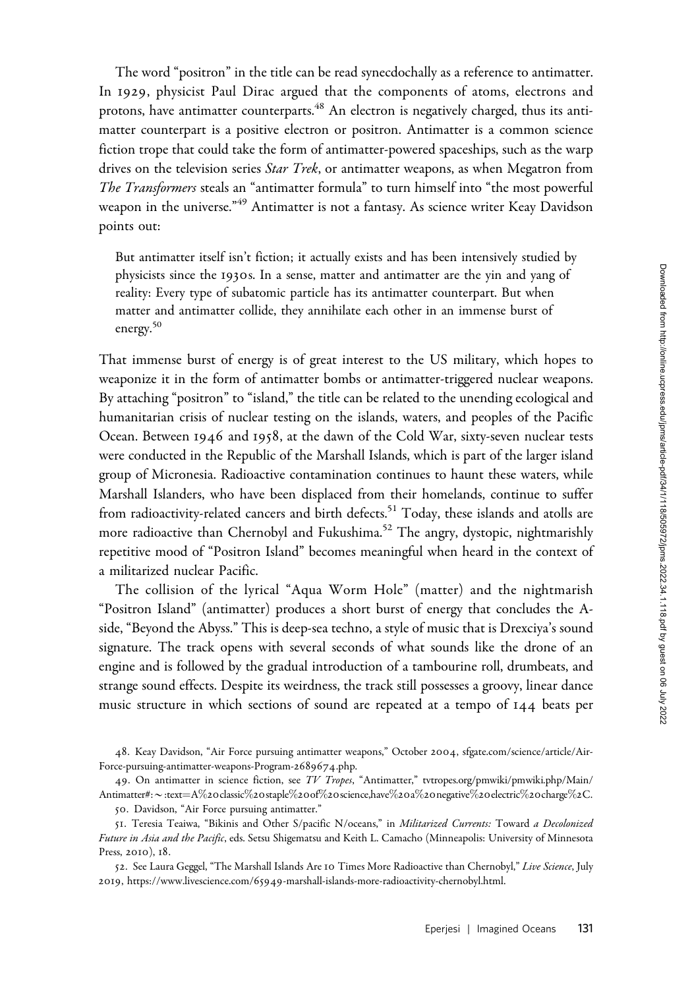The word "positron" in the title can be read synecdochally as a reference to antimatter. In 1929, physicist Paul Dirac argued that the components of atoms, electrons and protons, have antimatter counterparts.<sup>48</sup> An electron is negatively charged, thus its antimatter counterpart is a positive electron or positron. Antimatter is a common science fiction trope that could take the form of antimatter-powered spaceships, such as the warp drives on the television series *Star Trek*, or antimatter weapons, as when Megatron from The Transformers steals an "antimatter formula" to turn himself into "the most powerful weapon in the universe.<sup>"49</sup> Antimatter is not a fantasy. As science writer Keay Davidson points out:

But antimatter itself isn't fiction; it actually exists and has been intensively studied by physicists since the 1930s. In a sense, matter and antimatter are the yin and yang of reality: Every type of subatomic particle has its antimatter counterpart. But when matter and antimatter collide, they annihilate each other in an immense burst of energy.<sup>50</sup>

That immense burst of energy is of great interest to the US military, which hopes to weaponize it in the form of antimatter bombs or antimatter-triggered nuclear weapons. By attaching "positron" to "island," the title can be related to the unending ecological and humanitarian crisis of nuclear testing on the islands, waters, and peoples of the Pacific Ocean. Between 1946 and 1958, at the dawn of the Cold War, sixty-seven nuclear tests were conducted in the Republic of the Marshall Islands, which is part of the larger island group of Micronesia. Radioactive contamination continues to haunt these waters, while Marshall Islanders, who have been displaced from their homelands, continue to suffer from radioactivity-related cancers and birth defects.<sup>51</sup> Today, these islands and atolls are more radioactive than Chernobyl and Fukushima.<sup>52</sup> The angry, dystopic, nightmarishly repetitive mood of "Positron Island" becomes meaningful when heard in the context of a militarized nuclear Pacific.

The collision of the lyrical "Aqua Worm Hole" (matter) and the nightmarish "Positron Island" (antimatter) produces a short burst of energy that concludes the Aside, "Beyond the Abyss." This is deep-sea techno, a style of music that is Drexciya's sound signature. The track opens with several seconds of what sounds like the drone of an engine and is followed by the gradual introduction of a tambourine roll, drumbeats, and strange sound effects. Despite its weirdness, the track still possesses a groovy, linear dance music structure in which sections of sound are repeated at a tempo of 144 beats per

48. Keay Davidson, "Air Force pursuing antimatter weapons," October 2004, [sfgate.com/science/article/Air-](sfgate.com/science/article/Air-Force-pursuing-antimatter-weapons-Program-2689674.php)[Force-pursuing-antimatter-weapons-Program-](sfgate.com/science/article/Air-Force-pursuing-antimatter-weapons-Program-2689674.php)2689674.php.

49. On antimatter in science fiction, see TV Tropes, "Antimatter," [tvtropes.org/pmwiki/pmwiki.php/Main/](tvtropes.org/pmwiki/pmwiki.php/Main/Antimatter#:~:text=A%20classic%20staple%20of%20science,have%20a%20negative%20electric%20charge%2C) [Antimatter#:](tvtropes.org/pmwiki/pmwiki.php/Main/Antimatter#:~:text=A%20classic%20staple%20of%20science,have%20a%20negative%20electric%20charge%2C)\*[:text](tvtropes.org/pmwiki/pmwiki.php/Main/Antimatter#:~:text=A%20classic%20staple%20of%20science,have%20a%20negative%20electric%20charge%2C)¼[A](tvtropes.org/pmwiki/pmwiki.php/Main/Antimatter#:~:text=A%20classic%20staple%20of%20science,have%20a%20negative%20electric%20charge%2C)%20[classic](tvtropes.org/pmwiki/pmwiki.php/Main/Antimatter#:~:text=A%20classic%20staple%20of%20science,have%20a%20negative%20electric%20charge%2C)%20[staple](tvtropes.org/pmwiki/pmwiki.php/Main/Antimatter#:~:text=A%20classic%20staple%20of%20science,have%20a%20negative%20electric%20charge%2C)%[20](tvtropes.org/pmwiki/pmwiki.php/Main/Antimatter#:~:text=A%20classic%20staple%20of%20science,have%20a%20negative%20electric%20charge%2C)of%20[science,have](tvtropes.org/pmwiki/pmwiki.php/Main/Antimatter#:~:text=A%20classic%20staple%20of%20science,have%20a%20negative%20electric%20charge%2C)%[20](tvtropes.org/pmwiki/pmwiki.php/Main/Antimatter#:~:text=A%20classic%20staple%20of%20science,have%20a%20negative%20electric%20charge%2C)a%20[negative](tvtropes.org/pmwiki/pmwiki.php/Main/Antimatter#:~:text=A%20classic%20staple%20of%20science,have%20a%20negative%20electric%20charge%2C)%20[electric](tvtropes.org/pmwiki/pmwiki.php/Main/Antimatter#:~:text=A%20classic%20staple%20of%20science,have%20a%20negative%20electric%20charge%2C)%20[charge](tvtropes.org/pmwiki/pmwiki.php/Main/Antimatter#:~:text=A%20classic%20staple%20of%20science,have%20a%20negative%20electric%20charge%2C)%2[C.](tvtropes.org/pmwiki/pmwiki.php/Main/Antimatter#:~:text=A%20classic%20staple%20of%20science,have%20a%20negative%20electric%20charge%2C)

50. Davidson, "Air Force pursuing antimatter."

52. See Laura Geggel, "The Marshall Islands Are 10 Times More Radioactive than Chernobyl," Live Science, July 2019, https://www.livescience.com/65949[-marshall-islands-more-radioactivity-chernobyl.html.](https://www.livescience.com/65949-marshall-islands-more-radioactivity-chernobyl.html)

<sup>51</sup>. Teresia Teaiwa, "Bikinis and Other S/pacific N/oceans," in Militarized Currents: Toward a Decolonized Future in Asia and the Pacific, eds. Setsu Shigematsu and Keith L. Camacho (Minneapolis: University of Minnesota Press, 2010), 18.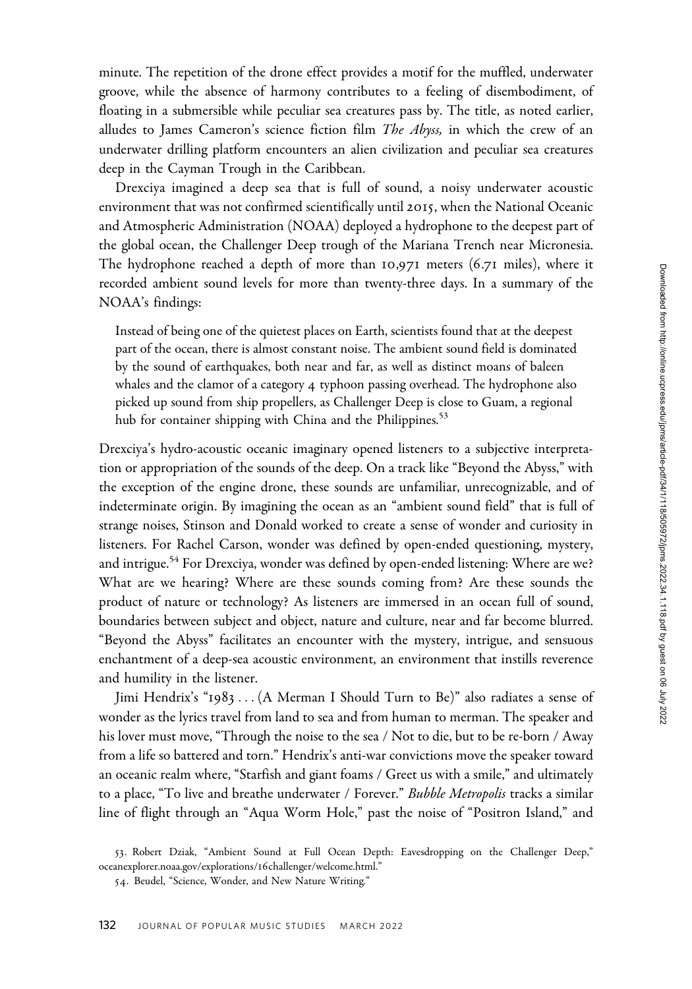minute. The repetition of the drone effect provides a motif for the muffled, underwater groove, while the absence of harmony contributes to a feeling of disembodiment, of floating in a submersible while peculiar sea creatures pass by. The title, as noted earlier, alludes to James Cameron's science fiction film *The Abyss*, in which the crew of an underwater drilling platform encounters an alien civilization and peculiar sea creatures deep in the Cayman Trough in the Caribbean.

Drexciya imagined a deep sea that is full of sound, a noisy underwater acoustic environment that was not confirmed scientifically until 2015, when the National Oceanic and Atmospheric Administration (NOAA) deployed a hydrophone to the deepest part of the global ocean, the Challenger Deep trough of the Mariana Trench near Micronesia. The hydrophone reached a depth of more than 10,971 meters (6.71 miles), where it recorded ambient sound levels for more than twenty-three days. In a summary of the NOAA's findings:

Instead of being one of the quietest places on Earth, scientists found that at the deepest part of the ocean, there is almost constant noise. The ambient sound field is dominated by the sound of earthquakes, both near and far, as well as distinct moans of baleen whales and the clamor of a category 4 typhoon passing overhead. The hydrophone also picked up sound from ship propellers, as Challenger Deep is close to Guam, a regional hub for container shipping with China and the Philippines.<sup>53</sup>

Drexciya's hydro-acoustic oceanic imaginary opened listeners to a subjective interpretation or appropriation of the sounds of the deep. On a track like "Beyond the Abyss," with the exception of the engine drone, these sounds are unfamiliar, unrecognizable, and of indeterminate origin. By imagining the ocean as an "ambient sound field" that is full of strange noises, Stinson and Donald worked to create a sense of wonder and curiosity in listeners. For Rachel Carson, wonder was defined by open-ended questioning, mystery, and intrigue.<sup>54</sup> For Drexciya, wonder was defined by open-ended listening: Where are we? What are we hearing? Where are these sounds coming from? Are these sounds the product of nature or technology? As listeners are immersed in an ocean full of sound, boundaries between subject and object, nature and culture, near and far become blurred. "Beyond the Abyss" facilitates an encounter with the mystery, intrigue, and sensuous enchantment of a deep-sea acoustic environment, an environment that instills reverence and humility in the listener.

Jimi Hendrix's "1983 ... (A Merman I Should Turn to Be)" also radiates a sense of wonder as the lyrics travel from land to sea and from human to merman. The speaker and his lover must move, "Through the noise to the sea / Not to die, but to be re-born / Away from a life so battered and torn." Hendrix's anti-war convictions move the speaker toward an oceanic realm where, "Starfish and giant foams / Greet us with a smile," and ultimately to a place, "To live and breathe underwater / Forever." Bubble Metropolis tracks a similar line of flight through an "Aqua Worm Hole," past the noise of "Positron Island," and

<sup>53</sup>. Robert Dziak, "Ambient Sound at Full Ocean Depth: Eavesdropping on the Challenger Deep," [oceanexplorer.noaa.gov/explorations/](oceanexplorer.noaa.gov/explorations/16challenger/welcome.html)16challenger/welcome.html."

<sup>54</sup>. Beudel, "Science, Wonder, and New Nature Writing."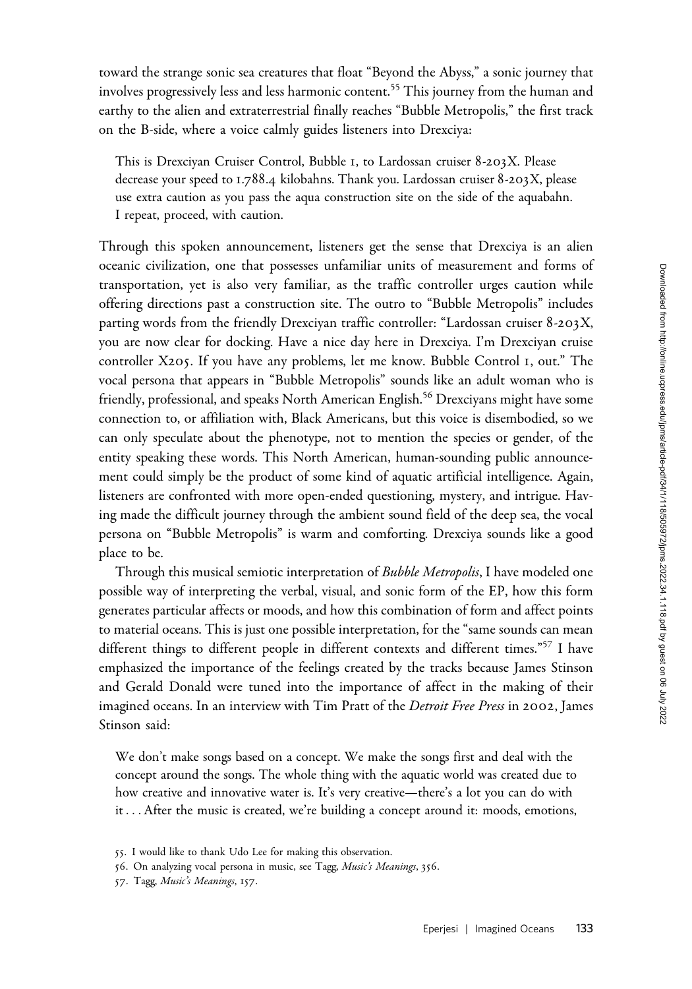toward the strange sonic sea creatures that float "Beyond the Abyss," a sonic journey that involves progressively less and less harmonic content.<sup>55</sup> This journey from the human and earthy to the alien and extraterrestrial finally reaches "Bubble Metropolis," the first track on the B-side, where a voice calmly guides listeners into Drexciya:

This is Drexciyan Cruiser Control, Bubble 1, to Lardossan cruiser 8-203X. Please decrease your speed to 1.788.4 kilobahns. Thank you. Lardossan cruiser 8-203X, please use extra caution as you pass the aqua construction site on the side of the aquabahn. I repeat, proceed, with caution.

Through this spoken announcement, listeners get the sense that Drexciya is an alien oceanic civilization, one that possesses unfamiliar units of measurement and forms of transportation, yet is also very familiar, as the traffic controller urges caution while offering directions past a construction site. The outro to "Bubble Metropolis" includes parting words from the friendly Drexciyan traffic controller: "Lardossan cruiser 8-203X, you are now clear for docking. Have a nice day here in Drexciya. I'm Drexciyan cruise controller X205. If you have any problems, let me know. Bubble Control 1, out." The vocal persona that appears in "Bubble Metropolis" sounds like an adult woman who is friendly, professional, and speaks North American English.<sup>56</sup> Drexciyans might have some connection to, or affiliation with, Black Americans, but this voice is disembodied, so we can only speculate about the phenotype, not to mention the species or gender, of the entity speaking these words. This North American, human-sounding public announcement could simply be the product of some kind of aquatic artificial intelligence. Again, listeners are confronted with more open-ended questioning, mystery, and intrigue. Having made the difficult journey through the ambient sound field of the deep sea, the vocal persona on "Bubble Metropolis" is warm and comforting. Drexciya sounds like a good place to be.

Through this musical semiotic interpretation of Bubble Metropolis, I have modeled one possible way of interpreting the verbal, visual, and sonic form of the EP, how this form generates particular affects or moods, and how this combination of form and affect points to material oceans. This is just one possible interpretation, for the "same sounds can mean different things to different people in different contexts and different times."<sup>57</sup> I have emphasized the importance of the feelings created by the tracks because James Stinson and Gerald Donald were tuned into the importance of affect in the making of their imagined oceans. In an interview with Tim Pratt of the Detroit Free Press in 2002, James Stinson said:

We don't make songs based on a concept. We make the songs first and deal with the concept around the songs. The whole thing with the aquatic world was created due to how creative and innovative water is. It's very creative—there's a lot you can do with it ...After the music is created, we're building a concept around it: moods, emotions,

<sup>55</sup>. I would like to thank Udo Lee for making this observation.

<sup>56</sup>. On analyzing vocal persona in music, see Tagg, Music's Meanings, 356.

<sup>57</sup>. Tagg, Music's Meanings, 157.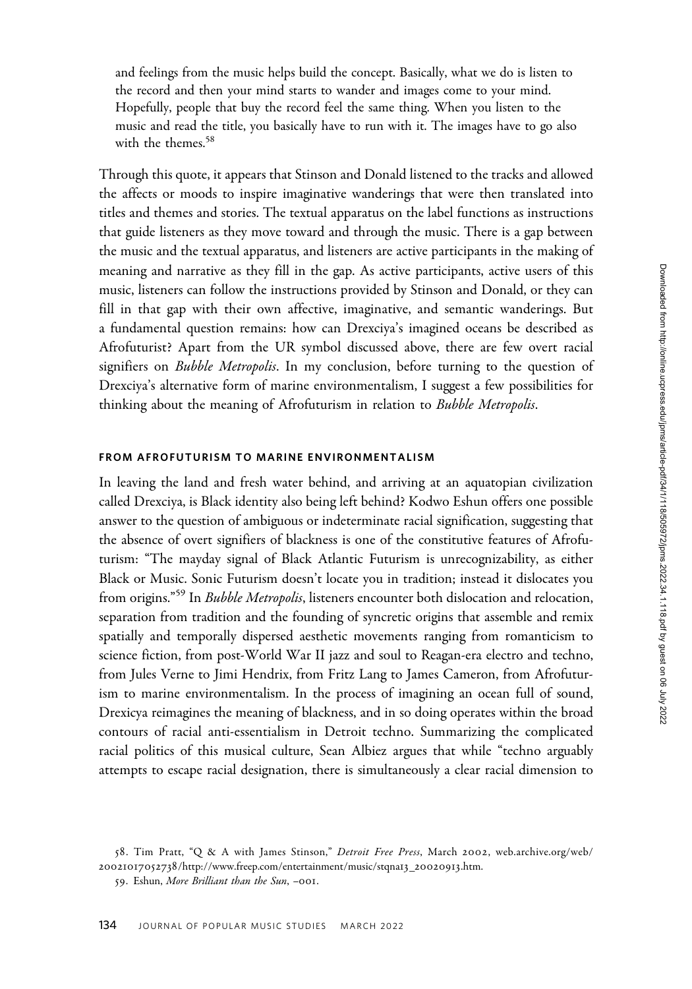and feelings from the music helps build the concept. Basically, what we do is listen to the record and then your mind starts to wander and images come to your mind. Hopefully, people that buy the record feel the same thing. When you listen to the music and read the title, you basically have to run with it. The images have to go also with the themes.<sup>58</sup>

Through this quote, it appears that Stinson and Donald listened to the tracks and allowed the affects or moods to inspire imaginative wanderings that were then translated into titles and themes and stories. The textual apparatus on the label functions as instructions that guide listeners as they move toward and through the music. There is a gap between the music and the textual apparatus, and listeners are active participants in the making of meaning and narrative as they fill in the gap. As active participants, active users of this music, listeners can follow the instructions provided by Stinson and Donald, or they can fill in that gap with their own affective, imaginative, and semantic wanderings. But a fundamental question remains: how can Drexciya's imagined oceans be described as Afrofuturist? Apart from the UR symbol discussed above, there are few overt racial signifiers on *Bubble Metropolis*. In my conclusion, before turning to the question of Drexciya's alternative form of marine environmentalism, I suggest a few possibilities for thinking about the meaning of Afrofuturism in relation to Bubble Metropolis.

## FROM AFROFUTURISM TO MARINE ENVIRONMENTALISM

In leaving the land and fresh water behind, and arriving at an aquatopian civilization called Drexciya, is Black identity also being left behind? Kodwo Eshun offers one possible answer to the question of ambiguous or indeterminate racial signification, suggesting that the absence of overt signifiers of blackness is one of the constitutive features of Afrofuturism: "The mayday signal of Black Atlantic Futurism is unrecognizability, as either Black or Music. Sonic Futurism doesn't locate you in tradition; instead it dislocates you from origins."<sup>59</sup> In *Bubble Metropolis*, listeners encounter both dislocation and relocation, separation from tradition and the founding of syncretic origins that assemble and remix spatially and temporally dispersed aesthetic movements ranging from romanticism to science fiction, from post-World War II jazz and soul to Reagan-era electro and techno, from Jules Verne to Jimi Hendrix, from Fritz Lang to James Cameron, from Afrofuturism to marine environmentalism. In the process of imagining an ocean full of sound, Drexicya reimagines the meaning of blackness, and in so doing operates within the broad contours of racial anti-essentialism in Detroit techno. Summarizing the complicated racial politics of this musical culture, Sean Albiez argues that while "techno arguably attempts to escape racial designation, there is simultaneously a clear racial dimension to

<sup>58.</sup> Tim Pratt, "Q & A with James Stinson," Detroit Free Press, March 2002, [web.archive.org/web/](web.archive.org/web/20021017052738/http://www.freep.com/entertainment/music/stqna13_20020913.htm) 20021017052738[/http://www.freep.com/entertainment/music/stqna](web.archive.org/web/20021017052738/http://www.freep.com/entertainment/music/stqna13_20020913.htm)13\_20020913.htm.

<sup>59</sup>. Eshun, More Brilliant than the Sun, –001.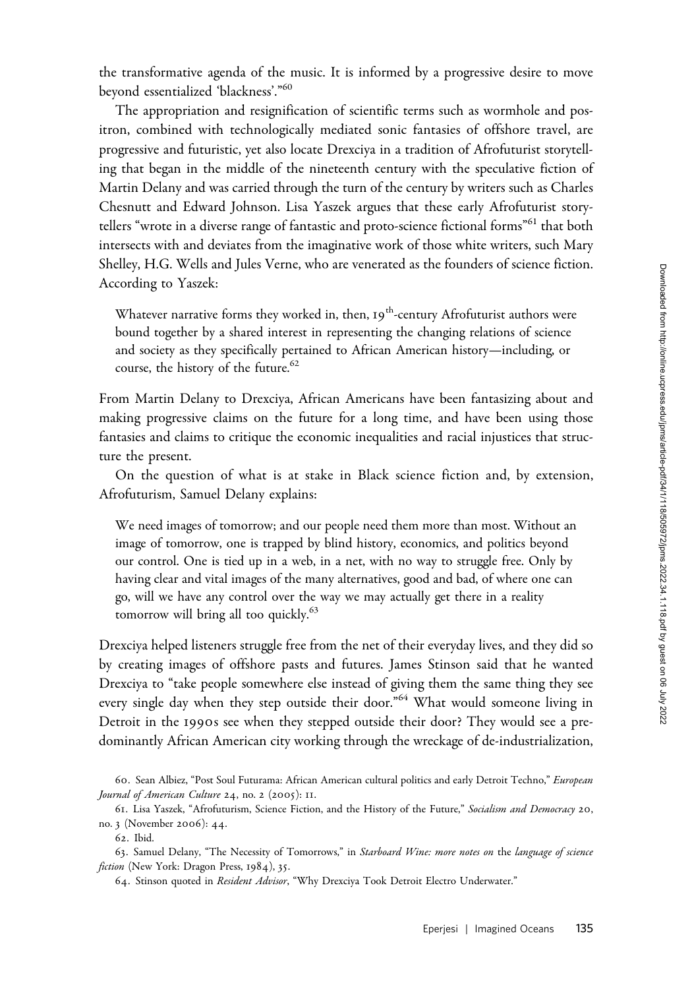the transformative agenda of the music. It is informed by a progressive desire to move beyond essentialized 'blackness'."<sup>60</sup>

The appropriation and resignification of scientific terms such as wormhole and positron, combined with technologically mediated sonic fantasies of offshore travel, are progressive and futuristic, yet also locate Drexciya in a tradition of Afrofuturist storytelling that began in the middle of the nineteenth century with the speculative fiction of Martin Delany and was carried through the turn of the century by writers such as Charles Chesnutt and Edward Johnson. Lisa Yaszek argues that these early Afrofuturist storytellers "wrote in a diverse range of fantastic and proto-science fictional forms"<sup>61</sup> that both intersects with and deviates from the imaginative work of those white writers, such Mary Shelley, H.G. Wells and Jules Verne, who are venerated as the founders of science fiction. According to Yaszek:

Whatever narrative forms they worked in, then,  $I9^{th}$ -century Afrofuturist authors were bound together by a shared interest in representing the changing relations of science and society as they specifically pertained to African American history—including, or course, the history of the future.<sup>62</sup>

From Martin Delany to Drexciya, African Americans have been fantasizing about and making progressive claims on the future for a long time, and have been using those fantasies and claims to critique the economic inequalities and racial injustices that structure the present.

On the question of what is at stake in Black science fiction and, by extension, Afrofuturism, Samuel Delany explains:

We need images of tomorrow; and our people need them more than most. Without an image of tomorrow, one is trapped by blind history, economics, and politics beyond our control. One is tied up in a web, in a net, with no way to struggle free. Only by having clear and vital images of the many alternatives, good and bad, of where one can go, will we have any control over the way we may actually get there in a reality tomorrow will bring all too quickly.<sup>63</sup>

Drexciya helped listeners struggle free from the net of their everyday lives, and they did so by creating images of offshore pasts and futures. James Stinson said that he wanted Drexciya to "take people somewhere else instead of giving them the same thing they see every single day when they step outside their door."<sup>64</sup> What would someone living in Detroit in the 1990s see when they stepped outside their door? They would see a predominantly African American city working through the wreckage of de-industrialization,

<sup>60.</sup> Sean Albiez, "Post Soul Futurama: African American cultural politics and early Detroit Techno," European Journal of American Culture 24, no. 2 (2005): II.

<sup>61</sup>. Lisa Yaszek, "Afrofuturism, Science Fiction, and the History of the Future," Socialism and Democracy 20, no. 3 (November 2006): 44.

<sup>62</sup>. Ibid.

<sup>63.</sup> Samuel Delany, "The Necessity of Tomorrows," in Starboard Wine: more notes on the language of science fiction (New York: Dragon Press, 1984), 35.

<sup>64.</sup> Stinson quoted in Resident Advisor, "Why Drexciya Took Detroit Electro Underwater."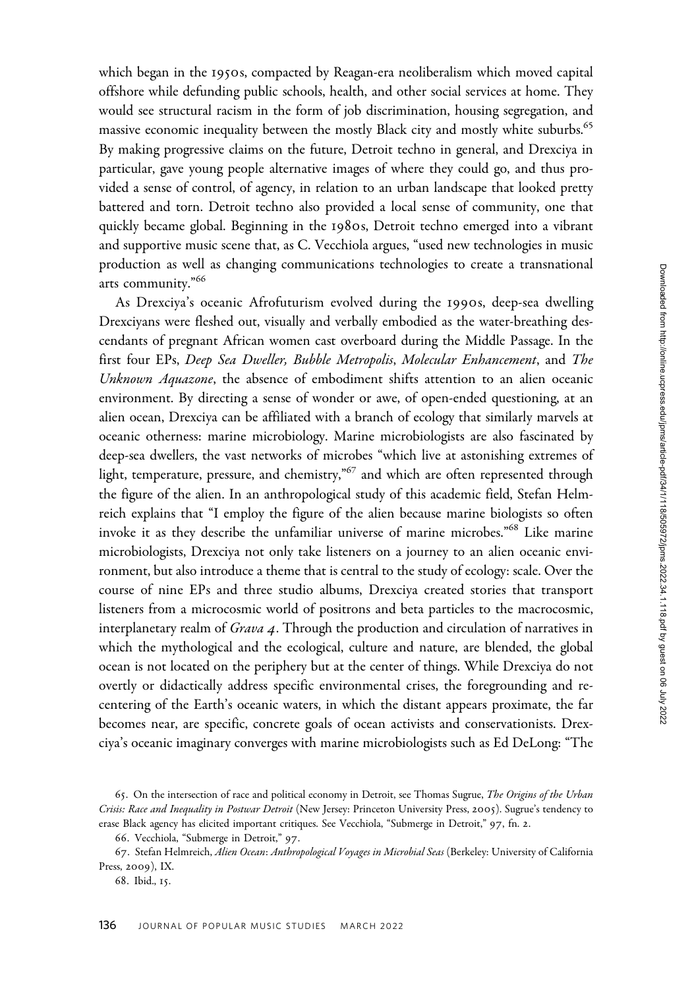which began in the 1950s, compacted by Reagan-era neoliberalism which moved capital offshore while defunding public schools, health, and other social services at home. They would see structural racism in the form of job discrimination, housing segregation, and massive economic inequality between the mostly Black city and mostly white suburbs.<sup>65</sup> By making progressive claims on the future, Detroit techno in general, and Drexciya in particular, gave young people alternative images of where they could go, and thus provided a sense of control, of agency, in relation to an urban landscape that looked pretty battered and torn. Detroit techno also provided a local sense of community, one that quickly became global. Beginning in the 1980s, Detroit techno emerged into a vibrant and supportive music scene that, as C. Vecchiola argues, "used new technologies in music production as well as changing communications technologies to create a transnational arts community."<sup>66</sup>

As Drexciya's oceanic Afrofuturism evolved during the 1990s, deep-sea dwelling Drexciyans were fleshed out, visually and verbally embodied as the water-breathing descendants of pregnant African women cast overboard during the Middle Passage. In the first four EPs, Deep Sea Dweller, Bubble Metropolis, Molecular Enhancement, and The Unknown Aquazone, the absence of embodiment shifts attention to an alien oceanic environment. By directing a sense of wonder or awe, of open-ended questioning, at an alien ocean, Drexciya can be affiliated with a branch of ecology that similarly marvels at oceanic otherness: marine microbiology. Marine microbiologists are also fascinated by deep-sea dwellers, the vast networks of microbes "which live at astonishing extremes of light, temperature, pressure, and chemistry,"<sup>67</sup> and which are often represented through the figure of the alien. In an anthropological study of this academic field, Stefan Helmreich explains that "I employ the figure of the alien because marine biologists so often invoke it as they describe the unfamiliar universe of marine microbes."<sup>68</sup> Like marine microbiologists, Drexciya not only take listeners on a journey to an alien oceanic environment, but also introduce a theme that is central to the study of ecology: scale. Over the course of nine EPs and three studio albums, Drexciya created stories that transport listeners from a microcosmic world of positrons and beta particles to the macrocosmic, interplanetary realm of Grava 4. Through the production and circulation of narratives in which the mythological and the ecological, culture and nature, are blended, the global ocean is not located on the periphery but at the center of things. While Drexciya do not overtly or didactically address specific environmental crises, the foregrounding and recentering of the Earth's oceanic waters, in which the distant appears proximate, the far becomes near, are specific, concrete goals of ocean activists and conservationists. Drexciya's oceanic imaginary converges with marine microbiologists such as Ed DeLong: "The

<sup>65.</sup> On the intersection of race and political economy in Detroit, see Thomas Sugrue, The Origins of the Urban Crisis: Race and Inequality in Postwar Detroit (New Jersey: Princeton University Press, 2005). Sugrue's tendency to erase Black agency has elicited important critiques. See Vecchiola, "Submerge in Detroit," 97, fn. 2.

<sup>66</sup>. Vecchiola, "Submerge in Detroit," 97.

<sup>67.</sup> Stefan Helmreich, Alien Ocean: Anthropological Voyages in Microbial Seas (Berkeley: University of California Press, 2009), IX.

<sup>68</sup>. Ibid., 15.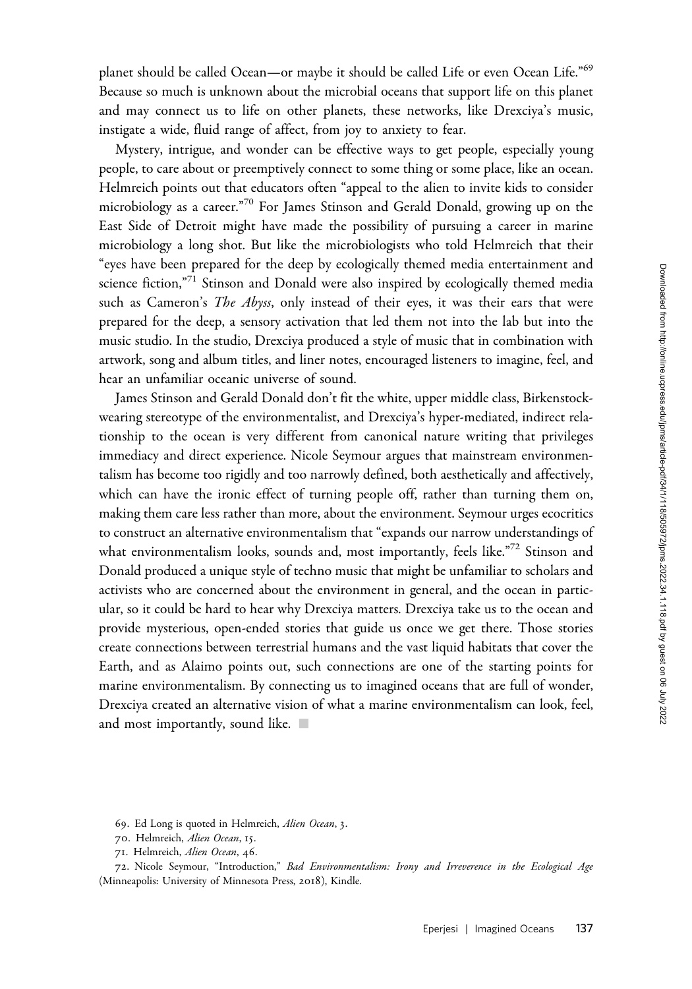planet should be called Ocean—or maybe it should be called Life or even Ocean Life."<sup>69</sup> Because so much is unknown about the microbial oceans that support life on this planet and may connect us to life on other planets, these networks, like Drexciya's music, instigate a wide, fluid range of affect, from joy to anxiety to fear.

Mystery, intrigue, and wonder can be effective ways to get people, especially young people, to care about or preemptively connect to some thing or some place, like an ocean. Helmreich points out that educators often "appeal to the alien to invite kids to consider microbiology as a career."<sup>70</sup> For James Stinson and Gerald Donald, growing up on the East Side of Detroit might have made the possibility of pursuing a career in marine microbiology a long shot. But like the microbiologists who told Helmreich that their "eyes have been prepared for the deep by ecologically themed media entertainment and science fiction,"<sup>71</sup> Stinson and Donald were also inspired by ecologically themed media such as Cameron's The Abyss, only instead of their eyes, it was their ears that were prepared for the deep, a sensory activation that led them not into the lab but into the music studio. In the studio, Drexciya produced a style of music that in combination with artwork, song and album titles, and liner notes, encouraged listeners to imagine, feel, and hear an unfamiliar oceanic universe of sound.

James Stinson and Gerald Donald don't fit the white, upper middle class, Birkenstockwearing stereotype of the environmentalist, and Drexciya's hyper-mediated, indirect relationship to the ocean is very different from canonical nature writing that privileges immediacy and direct experience. Nicole Seymour argues that mainstream environmentalism has become too rigidly and too narrowly defined, both aesthetically and affectively, which can have the ironic effect of turning people off, rather than turning them on, making them care less rather than more, about the environment. Seymour urges ecocritics to construct an alternative environmentalism that "expands our narrow understandings of what environmentalism looks, sounds and, most importantly, feels like.<sup>"72</sup> Stinson and Donald produced a unique style of techno music that might be unfamiliar to scholars and activists who are concerned about the environment in general, and the ocean in particular, so it could be hard to hear why Drexciya matters. Drexciya take us to the ocean and provide mysterious, open-ended stories that guide us once we get there. Those stories create connections between terrestrial humans and the vast liquid habitats that cover the Earth, and as Alaimo points out, such connections are one of the starting points for marine environmentalism. By connecting us to imagined oceans that are full of wonder, Drexciya created an alternative vision of what a marine environmentalism can look, feel, and most importantly, sound like.  $\blacksquare$ 

69. Ed Long is quoted in Helmreich, Alien Ocean, 3.

<sup>70</sup>. Helmreich, Alien Ocean, 15.

<sup>71</sup>. Helmreich, Alien Ocean, 46.

<sup>72</sup>. Nicole Seymour, "Introduction," Bad Environmentalism: Irony and Irreverence in the Ecological Age (Minneapolis: University of Minnesota Press, 2018), Kindle.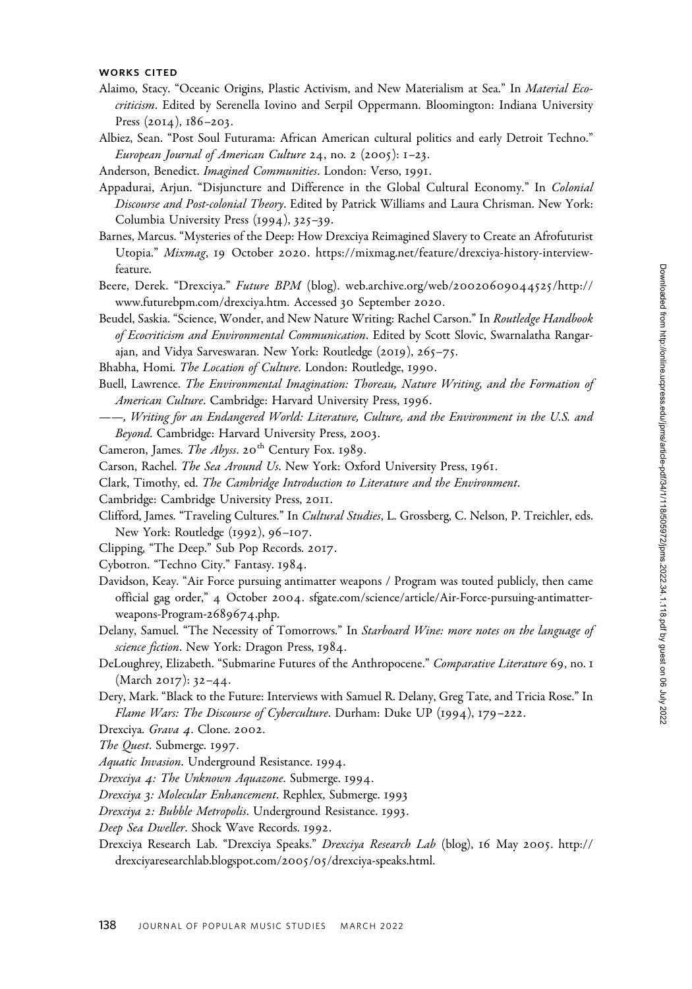#### WORKS CITED

- Alaimo, Stacy. "Oceanic Origins, Plastic Activism, and New Materialism at Sea." In Material Ecocriticism. Edited by Serenella Iovino and Serpil Oppermann. Bloomington: Indiana University Press (2014), 186–203.
- Albiez, Sean. "Post Soul Futurama: African American cultural politics and early Detroit Techno." European Journal of American Culture 24, no. 2 (2005):  $1-23$ .
- Anderson, Benedict. Imagined Communities. London: Verso, 1991.
- Appadurai, Arjun. "Disjuncture and Difference in the Global Cultural Economy." In Colonial Discourse and Post-colonial Theory. Edited by Patrick Williams and Laura Chrisman. New York: Columbia University Press (1994), 325–39.
- Barnes, Marcus. "Mysteries of the Deep: How Drexciya Reimagined Slavery to Create an Afrofuturist Utopia." Mixmag, 19 October 2020. [https://mixmag.net/feature/drexciya-history-interview](https://mixmag.net/feature/drexciya-history-interview-feature)[feature.](https://mixmag.net/feature/drexciya-history-interview-feature)
- Beere, Derek. "Drexciya." Future BPM (blog). [web.archive.org/web/](web.archive.org/web/20020609044525/http://www.futurebpm.com/drexciya.htm)20020609044525/http:// [www.futurebpm.com/drexciya.htm](web.archive.org/web/20020609044525/http://www.futurebpm.com/drexciya.htm). Accessed 30 September 2020.
- Beudel, Saskia. "Science, Wonder, and New Nature Writing: Rachel Carson." In Routledge Handbook of Ecocriticism and Environmental Communication. Edited by Scott Slovic, Swarnalatha Rangarajan, and Vidya Sarveswaran. New York: Routledge (2019), 265–75.
- Bhabha, Homi. The Location of Culture. London: Routledge, 1990.
- Buell, Lawrence. The Environmental Imagination: Thoreau, Nature Writing, and the Formation of American Culture. Cambridge: Harvard University Press, 1996.
- ——, Writing for an Endangered World: Literature, Culture, and the Environment in the U.S. and Beyond. Cambridge: Harvard University Press, 2003.
- Cameron, James. The Abyss. 20<sup>th</sup> Century Fox. 1989.
- Carson, Rachel. The Sea Around Us. New York: Oxford University Press, 1961.
- Clark, Timothy, ed. The Cambridge Introduction to Literature and the Environment.
- Cambridge: Cambridge University Press, 2011.
- Clifford, James. "Traveling Cultures." In *Cultural Studies*, L. Grossberg, C. Nelson, P. Treichler, eds. New York: Routledge (1992), 96–107.
- Clipping, "The Deep." Sub Pop Records. 2017.
- Cybotron. "Techno City." Fantasy. 1984.
- Davidson, Keay. "Air Force pursuing antimatter weapons / Program was touted publicly, then came official gag order," 4 October 2004. [sfgate.com/science/article/Air-Force-pursuing-antimatter](sfgate.com/science/article/Air-Force-pursuing-antimatter-weapons-Program-2689674.php)[weapons-Program-](sfgate.com/science/article/Air-Force-pursuing-antimatter-weapons-Program-2689674.php)2689674.php.
- Delany, Samuel. "The Necessity of Tomorrows." In Starboard Wine: more notes on the language of science fiction. New York: Dragon Press, 1984.
- DeLoughrey, Elizabeth. "Submarine Futures of the Anthropocene." Comparative Literature 69, no. 1 (March 2017): 32–44.
- Dery, Mark. "Black to the Future: Interviews with Samuel R. Delany, Greg Tate, and Tricia Rose." In Flame Wars: The Discourse of Cyberculture. Durham: Duke UP (1994), 179–222.
- Drexciya. Grava 4. Clone. 2002.
- The Quest. Submerge. 1997.
- Aquatic Invasion. Underground Resistance. 1994.
- Drexciya 4: The Unknown Aquazone. Submerge. 1994.
- Drexciya 3: Molecular Enhancement. Rephlex, Submerge. 1993
- Drexciya 2: Bubble Metropolis. Underground Resistance. 1993.
- Deep Sea Dweller. Shock Wave Records. 1992.
- Drexciya Research Lab. "Drexciya Speaks." Drexciya Research Lab (blog), 16 May 2005. [http://](http://drexciyaresearchlab.blogspot.com/2005/05/drexciya-speaks.html) [drexciyaresearchlab.blogspot.com/](http://drexciyaresearchlab.blogspot.com/2005/05/drexciya-speaks.html)2005/05/drexciya-speaks.html.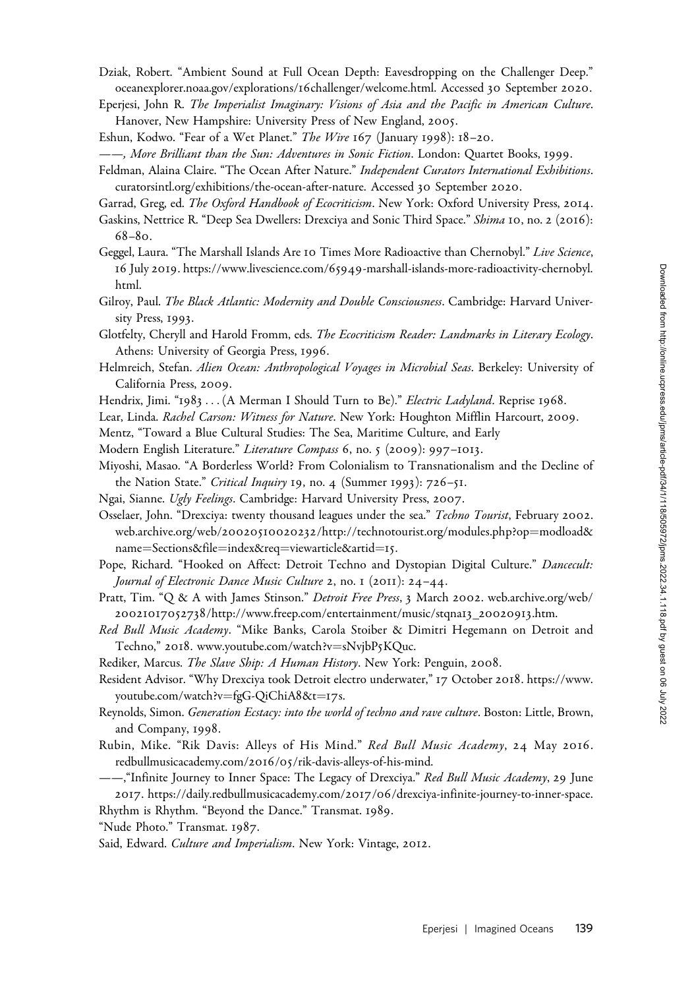- Dziak, Robert. "Ambient Sound at Full Ocean Depth: Eavesdropping on the Challenger Deep." [oceanexplorer.noaa.gov/explorations/](oceanexplorer.noaa.gov/explorations/16challenger/welcome.html)16challenger/welcome.html. Accessed 30 September 2020.
- Eperjesi, John R. The Imperialist Imaginary: Visions of Asia and the Pacific in American Culture. Hanover, New Hampshire: University Press of New England, 2005.
- Eshun, Kodwo. "Fear of a Wet Planet." The Wire 167 (January 1998): 18-20.
- ——, More Brilliant than the Sun: Adventures in Sonic Fiction. London: Quartet Books, 1999.
- Feldman, Alaina Claire. "The Ocean After Nature." Independent Curators International Exhibitions. [curatorsintl.org/exhibitions/the-ocean-after-nature.](curatorsintl.org/exhibitions/the-ocean-after-nature) Accessed 30 September 2020.
- Garrad, Greg, ed. The Oxford Handbook of Ecocriticism. New York: Oxford University Press, 2014.
- Gaskins, Nettrice R. "Deep Sea Dwellers: Drexciya and Sonic Third Space." Shima 10, no. 2 (2016): 68–80.
- Geggel, Laura. "The Marshall Islands Are 10 Times More Radioactive than Chernobyl." Live Science, 16 July 2019. https://www.livescience.com/65949[-marshall-islands-more-radioactivity-chernobyl.](https://www.livescience.com/65949-marshall-islands-more-radioactivity-chernobyl.html) [html](https://www.livescience.com/65949-marshall-islands-more-radioactivity-chernobyl.html).
- Gilroy, Paul. The Black Atlantic: Modernity and Double Consciousness. Cambridge: Harvard University Press, 1993.
- Glotfelty, Cheryll and Harold Fromm, eds. The Ecocriticism Reader: Landmarks in Literary Ecology. Athens: University of Georgia Press, 1996.
- Helmreich, Stefan. Alien Ocean: Anthropological Voyages in Microbial Seas. Berkeley: University of California Press, 2009.
- Hendrix, Jimi. "1983 ... (A Merman I Should Turn to Be)." Electric Ladyland. Reprise 1968.
- Lear, Linda. Rachel Carson: Witness for Nature. New York: Houghton Mifflin Harcourt, 2009.
- Mentz, "Toward a Blue Cultural Studies: The Sea, Maritime Culture, and Early
- Modern English Literature." Literature Compass 6, no. 5 (2009): 997-1013.
- Miyoshi, Masao. "A Borderless World? From Colonialism to Transnationalism and the Decline of the Nation State." Critical Inquiry 19, no. 4 (Summer 1993): 726-51.
- Ngai, Sianne. Ugly Feelings. Cambridge: Harvard University Press, 2007.
- Osselaer, John. "Drexciya: twenty thousand leagues under the sea." Techno Tourist, February 2002. web.archive.org/web/20020510020232[/http://technotourist.org/modules.php?op](web.archive.org/web/20020510020232/http://technotourist.org/modules.php?op=modload&name=Sections&file=index&req=viewarticle&artid=15)=[modload&](web.archive.org/web/20020510020232/http://technotourist.org/modules.php?op=modload&name=Sections&file=index&req=viewarticle&artid=15) [name](web.archive.org/web/20020510020232/http://technotourist.org/modules.php?op=modload&name=Sections&file=index&req=viewarticle&artid=15)=[Sections&file](web.archive.org/web/20020510020232/http://technotourist.org/modules.php?op=modload&name=Sections&file=index&req=viewarticle&artid=15)=[index&req](web.archive.org/web/20020510020232/http://technotourist.org/modules.php?op=modload&name=Sections&file=index&req=viewarticle&artid=15)=[viewarticle&artid](web.archive.org/web/20020510020232/http://technotourist.org/modules.php?op=modload&name=Sections&file=index&req=viewarticle&artid=15)=[15](web.archive.org/web/20020510020232/http://technotourist.org/modules.php?op=modload&name=Sections&file=index&req=viewarticle&artid=15).
- Pope, Richard. "Hooked on Affect: Detroit Techno and Dystopian Digital Culture." Dancecult: Journal of Electronic Dance Music Culture 2, no. 1 (2011): 24–44.
- Pratt, Tim. "Q & A with James Stinson." Detroit Free Press, 3 March 2002. [web.archive.org/web/](web.archive.org/web/20021017052738/http://www.freep.com/entertainment/music/stqna13_20020913.htm) 20021017052738[/http://www.freep.com/entertainment/music/stqna](web.archive.org/web/20021017052738/http://www.freep.com/entertainment/music/stqna13_20020913.htm)13\_20020913.htm.
- Red Bull Music Academy. "Mike Banks, Carola Stoiber & Dimitri Hegemann on Detroit and Techno," 2018. [www.youtube.com/watch?v](www.youtube.com/watch?v=sNvjbP5KQuc)=[sNvjbP](www.youtube.com/watch?v=sNvjbP5KQuc)5KQuc.

Rediker, Marcus. The Slave Ship: A Human History. New York: Penguin, 2008.

- Resident Advisor. "Why Drexciya took Detroit electro underwater," 17 October 2018. [https://www.](https://www.youtube.com/watch?v=fgG-QiChiA8&t=17s) [youtube.com/watch?v](https://www.youtube.com/watch?v=fgG-QiChiA8&t=17s)=[fgG-QiChiA](https://www.youtube.com/watch?v=fgG-QiChiA8&t=17s)8&t=[17](https://www.youtube.com/watch?v=fgG-QiChiA8&t=17s)s.
- Reynolds, Simon. Generation Ecstacy: into the world of techno and rave culture. Boston: Little, Brown, and Company, 1998.
- Rubin, Mike. "Rik Davis: Alleys of His Mind." Red Bull Music Academy, 24 May 2016. [redbullmusicacademy.com/](redbullmusicacademy.com)2016/05/rik-davis-alleys-of-his-mind.
- ——,"Infinite Journey to Inner Space: The Legacy of Drexciya." Red Bull Music Academy, 29 June 2017. https://daily.redbullmusicacademy.com/2017/06[/drexciya-infinite-journey-to-inner-space.](https://daily.redbullmusicacademy.com/2017/06/drexciya-infinite-journey-to-inner-space)

Rhythm is Rhythm. "Beyond the Dance." Transmat. 1989.

"Nude Photo." Transmat. 1987.

Said, Edward. Culture and Imperialism. New York: Vintage, 2012.